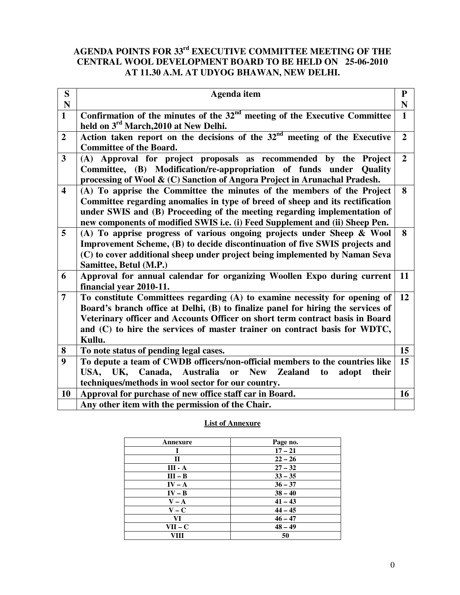### **AGENDA POINTS FOR 33rd EXECUTIVE COMMITTEE MEETING OF THE CENTRAL WOOL DEVELOPMENT BOARD TO BE HELD ON 25-06-2010 AT 11.30 A.M. AT UDYOG BHAWAN, NEW DELHI.**

| S                       | Agenda item                                                                                                                                                                                                                                                                                                                             | ${\bf P}$      |
|-------------------------|-----------------------------------------------------------------------------------------------------------------------------------------------------------------------------------------------------------------------------------------------------------------------------------------------------------------------------------------|----------------|
| ${\bf N}$               |                                                                                                                                                                                                                                                                                                                                         | N              |
| $\mathbf{1}$            | Confirmation of the minutes of the $32nd$ meeting of the Executive Committee<br>held on 3 <sup>rd</sup> March, 2010 at New Delhi.                                                                                                                                                                                                       | $\mathbf{1}$   |
| $\overline{2}$          | Action taken report on the decisions of the $32nd$ meeting of the Executive<br><b>Committee of the Board.</b>                                                                                                                                                                                                                           | $\overline{2}$ |
| $\overline{3}$          | (A) Approval for project proposals as recommended by the Project<br>Committee, (B) Modification/re-appropriation of funds under Quality<br>processing of Wool & (C) Sanction of Angora Project in Arunachal Pradesh.                                                                                                                    | $\overline{2}$ |
| $\overline{\mathbf{4}}$ | (A) To apprise the Committee the minutes of the members of the Project<br>Committee regarding anomalies in type of breed of sheep and its rectification<br>under SWIS and (B) Proceeding of the meeting regarding implementation of<br>new components of modified SWIS i.e. (i) Feed Supplement and (ii) Sheep Pen.                     | 8              |
| 5                       | (A) To apprise progress of various ongoing projects under Sheep & Wool<br>Improvement Scheme, (B) to decide discontinuation of five SWIS projects and<br>(C) to cover additional sheep under project being implemented by Naman Seva<br>Samittee, Betul (M.P.)                                                                          | 8              |
| 6                       | Approval for annual calendar for organizing Woollen Expo during current<br>financial year 2010-11.                                                                                                                                                                                                                                      | 11             |
| $\overline{7}$          | To constitute Committees regarding (A) to examine necessity for opening of<br>Board's branch office at Delhi, (B) to finalize panel for hiring the services of<br>Veterinary officer and Accounts Officer on short term contract basis in Board<br>and (C) to hire the services of master trainer on contract basis for WDTC,<br>Kullu. | 12             |
| 8                       | To note status of pending legal cases.                                                                                                                                                                                                                                                                                                  | 15             |
| $\boldsymbol{9}$        | To depute a team of CWDB officers/non-official members to the countries like<br>Canada,<br>USA,<br>UK,<br>Australia<br><b>New</b><br>or<br><b>Zealand</b><br>adopt<br>their<br>to                                                                                                                                                       | 15             |
| 10                      | techniques/methods in wool sector for our country.                                                                                                                                                                                                                                                                                      | 16             |
|                         | Approval for purchase of new office staff car in Board.                                                                                                                                                                                                                                                                                 |                |
|                         | Any other item with the permission of the Chair.                                                                                                                                                                                                                                                                                        |                |

#### **List of Annexure**

| Annexure       | Page no.  |
|----------------|-----------|
|                | $17 - 21$ |
| П              | $22 - 26$ |
| <b>III</b> - A | $27 - 32$ |
| $III - B$      | $33 - 35$ |
| $IV - A$       | $36 - 37$ |
| $IV - B$       | $38 - 40$ |
| $V - A$        | $41 - 43$ |
| $V - C$        | $44 - 45$ |
| VI             | $46 - 47$ |
| VII – C        | $48 - 49$ |
| VIII           | 50        |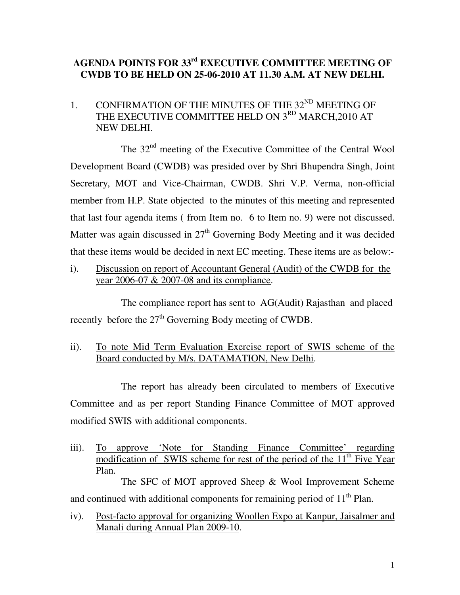# **AGENDA POINTS FOR 33rd EXECUTIVE COMMITTEE MEETING OF CWDB TO BE HELD ON 25-06-2010 AT 11.30 A.M. AT NEW DELHI.**

1. CONFIRMATION OF THE MINUTES OF THE  $32<sup>ND</sup>$  MEETING OF THE EXECUTIVE COMMITTEE HELD ON 3<sup>RD</sup> MARCH, 2010 AT NEW DELHI.

The 32<sup>nd</sup> meeting of the Executive Committee of the Central Wool Development Board (CWDB) was presided over by Shri Bhupendra Singh, Joint Secretary, MOT and Vice-Chairman, CWDB. Shri V.P. Verma, non-official member from H.P. State objected to the minutes of this meeting and represented that last four agenda items ( from Item no. 6 to Item no. 9) were not discussed. Matter was again discussed in  $27<sup>th</sup>$  Governing Body Meeting and it was decided that these items would be decided in next EC meeting. These items are as below:-

i). Discussion on report of Accountant General (Audit) of the CWDB for the year 2006-07 & 2007-08 and its compliance.

 The compliance report has sent to AG(Audit) Rajasthan and placed recently before the  $27<sup>th</sup>$  Governing Body meeting of CWDB.

ii). To note Mid Term Evaluation Exercise report of SWIS scheme of the Board conducted by M/s. DATAMATION, New Delhi.

 The report has already been circulated to members of Executive Committee and as per report Standing Finance Committee of MOT approved modified SWIS with additional components.

iii). To approve 'Note for Standing Finance Committee' regarding modification of SWIS scheme for rest of the period of the 11<sup>th</sup> Five Year Plan.

 The SFC of MOT approved Sheep & Wool Improvement Scheme and continued with additional components for remaining period of  $11<sup>th</sup>$  Plan.

iv). Post-facto approval for organizing Woollen Expo at Kanpur, Jaisalmer and Manali during Annual Plan 2009-10.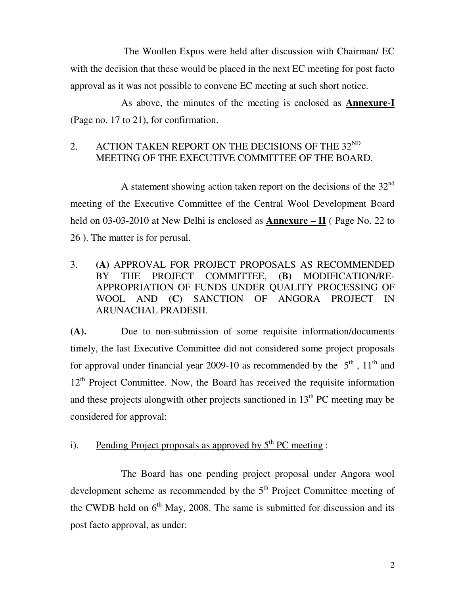The Woollen Expos were held after discussion with Chairman/ EC with the decision that these would be placed in the next EC meeting for post facto approval as it was not possible to convene EC meeting at such short notice.

 As above, the minutes of the meeting is enclosed as **Annexure**-**I** (Page no. 17 to 21), for confirmation.

### 2. ACTION TAKEN REPORT ON THE DECISIONS OF THE  $32^{ND}$ MEETING OF THE EXECUTIVE COMMITTEE OF THE BOARD.

A statement showing action taken report on the decisions of the  $32<sup>nd</sup>$ meeting of the Executive Committee of the Central Wool Development Board held on 03-03-2010 at New Delhi is enclosed as **Annexure – II** ( Page No. 22 to 26 ). The matter is for perusal.

3. **(A)** APPROVAL FOR PROJECT PROPOSALS AS RECOMMENDED BY THE PROJECT COMMITTEE, **(B)** MODIFICATION/RE-APPROPRIATION OF FUNDS UNDER QUALITY PROCESSING OF WOOL AND **(C)** SANCTION OF ANGORA PROJECT IN ARUNACHAL PRADESH.

**(A).** Due to non-submission of some requisite information/documents timely, the last Executive Committee did not considered some project proposals for approval under financial year 2009-10 as recommended by the  $5<sup>th</sup>$ ,  $11<sup>th</sup>$  and  $12<sup>th</sup>$  Project Committee. Now, the Board has received the requisite information and these projects alongwith other projects sanctioned in  $13<sup>th</sup>$  PC meeting may be considered for approval:

i). Pending Project proposals as approved by  $5<sup>th</sup> PC$  meeting :

 The Board has one pending project proposal under Angora wool development scheme as recommended by the  $5<sup>th</sup>$  Project Committee meeting of the CWDB held on  $6<sup>th</sup>$  May, 2008. The same is submitted for discussion and its post facto approval, as under: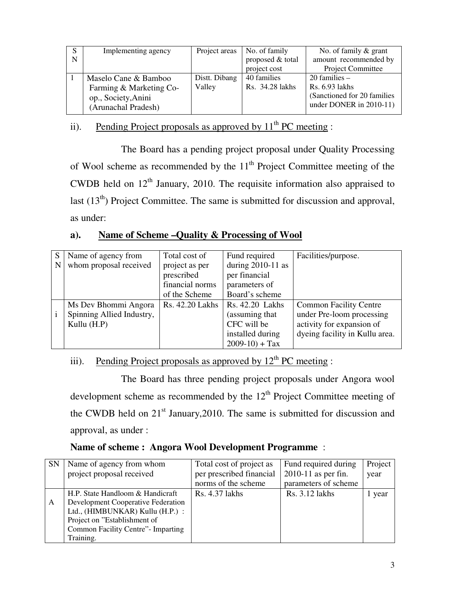| S | Implementing agency     | Project areas | No. of family    | No. of family $\&$ grant     |
|---|-------------------------|---------------|------------------|------------------------------|
| N |                         |               | proposed & total | amount recommended by        |
|   |                         |               | project cost     | Project Committee            |
|   | Maselo Cane & Bamboo    | Distt. Dibang | 40 families      | $20$ families $-$            |
|   | Farming & Marketing Co- | Valley        | Rs. 34.28 lakhs  | Rs. 6.93 lakhs               |
|   | op., Society, Anini     |               |                  | (Sanctioned for 20 families) |
|   | (Arunachal Pradesh)     |               |                  | under DONER in $2010-11$ )   |

# ii). Pending Project proposals as approved by  $11<sup>th</sup> PC$  meeting :

 The Board has a pending project proposal under Quality Processing of Wool scheme as recommended by the  $11<sup>th</sup>$  Project Committee meeting of the CWDB held on  $12<sup>th</sup>$  January, 2010. The requisite information also appraised to last  $(13<sup>th</sup>)$  Project Committee. The same is submitted for discussion and approval, as under:

### **a). Name of Scheme –Quality & Processing of Wool**

| S | Name of agency from       | Total cost of   | Fund required       | Facilities/purpose.            |
|---|---------------------------|-----------------|---------------------|--------------------------------|
| N | whom proposal received    | project as per  | during $2010-11$ as |                                |
|   |                           | prescribed      | per financial       |                                |
|   |                           | financial norms | parameters of       |                                |
|   |                           | of the Scheme   | Board's scheme      |                                |
|   | Ms Dev Bhommi Angora      | Rs. 42.20 Lakhs | Rs. 42.20 Lakhs     | <b>Common Facility Centre</b>  |
|   | Spinning Allied Industry, |                 | (assuming that      | under Pre-loom processing      |
|   | Kullu (H.P)               |                 | CFC will be         | activity for expansion of      |
|   |                           |                 | installed during    | dyeing facility in Kullu area. |
|   |                           |                 | $2009-10$ + Tax     |                                |

# iii). Pending Project proposals as approved by  $12<sup>th</sup>$  PC meeting :

 The Board has three pending project proposals under Angora wool development scheme as recommended by the 12<sup>th</sup> Project Committee meeting of the CWDB held on  $21<sup>st</sup>$  January, 2010. The same is submitted for discussion and approval, as under :

### **Name of scheme : Angora Wool Development Programme** :

| <b>SN</b> | Name of agency from whom            | Total cost of project as | Fund required during | Project |
|-----------|-------------------------------------|--------------------------|----------------------|---------|
|           | project proposal received           | per prescribed financial | 2010-11 as per fin.  | year    |
|           |                                     | norms of the scheme      | parameters of scheme |         |
|           | H.P. State Handloom & Handicraft    | Rs. 4.37 lakhs           | Rs. 3.12 lakhs       | vear    |
| A         | Development Cooperative Federation  |                          |                      |         |
|           | Ltd., (HIMBUNKAR) Kullu (H.P.) :    |                          |                      |         |
|           | Project on "Establishment of        |                          |                      |         |
|           | Common Facility Centre" - Imparting |                          |                      |         |
|           | Training.                           |                          |                      |         |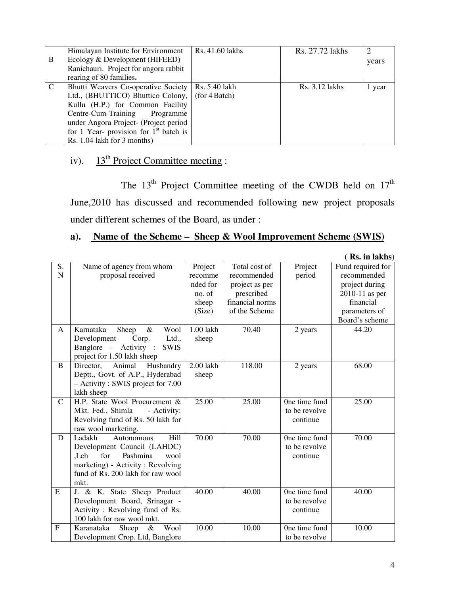|             | Himalayan Institute for Environment                 | Rs. 41.60 lakhs | Rs. 27.72 lakhs  |        |
|-------------|-----------------------------------------------------|-----------------|------------------|--------|
| B           | Ecology & Development (HIFEED)                      |                 |                  | years  |
|             | Ranichauri. Project for angora rabbit               |                 |                  |        |
|             | rearing of 80 families.                             |                 |                  |        |
| $\mathbf C$ | Bhutti Weavers Co-operative Society   Rs. 5.40 lakh |                 | $Rs. 3.12$ lakhs | 1 year |
|             | Ltd., (BHUTTICO) Bhuttico Colony, (for 4 Batch)     |                 |                  |        |
|             | Kullu (H.P.) for Common Facility                    |                 |                  |        |
|             | Centre-Cum-Training<br>Programme                    |                 |                  |        |
|             | under Angora Project- (Project period               |                 |                  |        |
|             | for 1 Year- provision for $1st$ batch is            |                 |                  |        |
|             | Rs. 1.04 lakh for 3 months)                         |                 |                  |        |

# iv).  $13<sup>th</sup> Project Committee meeting:$

The  $13<sup>th</sup>$  Project Committee meeting of the CWDB held on  $17<sup>th</sup>$ June,2010 has discussed and recommended following new project proposals under different schemes of the Board, as under :

### **a). Name of the Scheme – Sheep & Wool Improvement Scheme (SWIS)**

|               |                                      |           |                 |               | (Rs. in lakhs)    |
|---------------|--------------------------------------|-----------|-----------------|---------------|-------------------|
| S.            | Name of agency from whom             | Project   | Total cost of   | Project       | Fund required for |
| $\mathbf N$   | proposal received                    | recomme   | recommended     | period        | recommended       |
|               |                                      | nded for  | project as per  |               | project during    |
|               |                                      | no. of    | prescribed      |               | $2010-11$ as per  |
|               |                                      | sheep     | financial norms |               | financial         |
|               |                                      | (Size)    | of the Scheme   |               | parameters of     |
|               |                                      |           |                 |               | Board's scheme    |
| A             | Karnataka<br>&<br>Wool<br>Sheep      | 1.00 lakh | 70.40           | 2 years       | 44.20             |
|               | Development<br>Ltd.,<br>Corp.        | sheep     |                 |               |                   |
|               | Banglore – Activity :<br><b>SWIS</b> |           |                 |               |                   |
|               | project for 1.50 lakh sheep          |           |                 |               |                   |
| B             | Director,<br>Animal<br>Husbandry     | 2.00 lakh | 118.00          | 2 years       | 68.00             |
|               | Deptt., Govt. of A.P., Hyderabad     | sheep     |                 |               |                   |
|               | $-$ Activity : SWIS project for 7.00 |           |                 |               |                   |
|               | lakh sheep                           |           |                 |               |                   |
| $\mathcal{C}$ | H.P. State Wool Procurement &        | 25.00     | 25.00           | One time fund | 25.00             |
|               | Mkt. Fed., Shimla<br>- Activity:     |           |                 | to be revolve |                   |
|               | Revolving fund of Rs. 50 lakh for    |           |                 | continue      |                   |
|               | raw wool marketing.                  |           |                 |               |                   |
| D             | Ladakh<br><b>Hill</b><br>Autonomous  | 70.00     | 70.00           | One time fund | 70.00             |
|               | Development Council (LAHDC)          |           |                 | to be revolve |                   |
|               | for<br>Pashmina<br>Leh.<br>wool      |           |                 | continue      |                   |
|               | marketing) - Activity : Revolving    |           |                 |               |                   |
|               | fund of Rs. 200 lakh for raw wool    |           |                 |               |                   |
|               | mkt.                                 |           |                 |               |                   |
| E             | J. & K. State Sheep Product          | 40.00     | 40.00           | One time fund | 40.00             |
|               | Development Board, Srinagar -        |           |                 | to be revolve |                   |
|               | Activity: Revolving fund of Rs.      |           |                 | continue      |                   |
|               | 100 lakh for raw wool mkt.           |           |                 |               |                   |
| $\mathbf{F}$  | Wool<br>Karanataka<br>Sheep<br>$\&$  | 10.00     | 10.00           | One time fund | 10.00             |
|               | Development Crop. Ltd, Banglore      |           |                 | to be revolve |                   |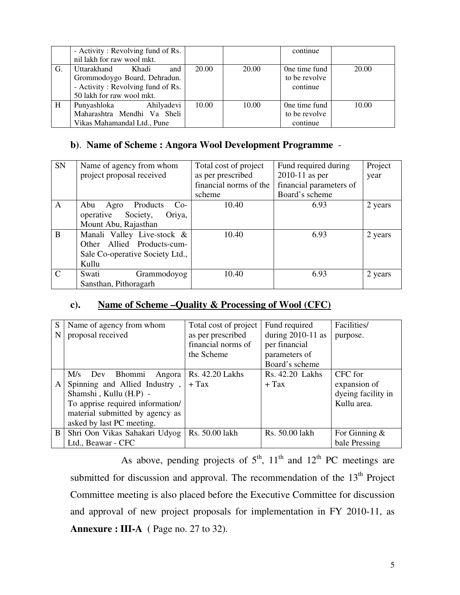|    | - Activity: Revolving fund of Rs.<br>nil lakh for raw wool mkt.                                                               |       |       | continue                                   |       |
|----|-------------------------------------------------------------------------------------------------------------------------------|-------|-------|--------------------------------------------|-------|
| G. | Uttarakhand<br>and<br>Khadi<br>Grommodoygo Board, Dehradun.<br>- Activity: Revolving fund of Rs.<br>50 lakh for raw wool mkt. | 20.00 | 20.00 | One time fund<br>to be revolve<br>continue | 20.00 |
| H  | Ahilyadevi<br>Punyashloka<br>Maharashtra Mendhi Va Sheli<br>Vikas Mahamandal Ltd., Pune                                       | 10.00 | 10.00 | One time fund<br>to be revolve<br>continue | 10.00 |

### **b)**. **Name of Scheme : Angora Wool Development Programme** -

| <b>SN</b>     | Name of agency from whom         | Total cost of project  | Fund required during    | Project |
|---------------|----------------------------------|------------------------|-------------------------|---------|
|               | project proposal received        | as per prescribed      | $2010-11$ as per        | year    |
|               |                                  | financial norms of the | financial parameters of |         |
|               |                                  | scheme                 | Board's scheme          |         |
| A             | Products<br>Abu<br>Agro<br>$Co-$ | 10.40                  | 6.93                    | 2 years |
|               | operative<br>Society,<br>Oriya,  |                        |                         |         |
|               | Mount Abu, Rajasthan             |                        |                         |         |
| B             | Manali Valley Live-stock &       | 10.40                  | 6.93                    | 2 years |
|               | Allied Products-cum-<br>Other    |                        |                         |         |
|               | Sale Co-operative Society Ltd.,  |                        |                         |         |
|               | Kullu                            |                        |                         |         |
| $\mathcal{C}$ | Swati<br>Grammodoyog             | 10.40                  | 6.93                    | 2 years |
|               | Sansthan, Pithoragarh            |                        |                         |         |

### **c). Name of Scheme –Quality & Processing of Wool (CFC)**

| S | Name of agency from whom         | Total cost of project | Fund required       | Facilities/        |
|---|----------------------------------|-----------------------|---------------------|--------------------|
| N | proposal received                | as per prescribed     | during $2010-11$ as | purpose.           |
|   |                                  | financial norms of    | per financial       |                    |
|   |                                  | the Scheme            | parameters of       |                    |
|   |                                  |                       | Board's scheme      |                    |
|   | M/s<br>Bhommi<br>Angora<br>Dev   | Rs. 42.20 Lakhs       | Rs. 42.20 Lakhs     | CFC for            |
| A | Spinning and Allied Industry,    | $+$ Tax               | $+$ Tax             | expansion of       |
|   | Shamshi, Kullu (H.P) -           |                       |                     | dyeing facility in |
|   | To apprise required information/ |                       |                     | Kullu area.        |
|   | material submitted by agency as  |                       |                     |                    |
|   | asked by last PC meeting.        |                       |                     |                    |
| B | Shri Oon Vikas Sahakari Udyog    | Rs. 50.00 lakh        | Rs. 50.00 lakh      | For Ginning $\&$   |
|   | Ltd., Beawar - CFC               |                       |                     | bale Pressing      |

As above, pending projects of  $5<sup>th</sup>$ ,  $11<sup>th</sup>$  and  $12<sup>th</sup>$  PC meetings are submitted for discussion and approval. The recommendation of the  $13<sup>th</sup>$  Project Committee meeting is also placed before the Executive Committee for discussion and approval of new project proposals for implementation in FY 2010-11, as **Annexure : III-A** ( Page no. 27 to 32).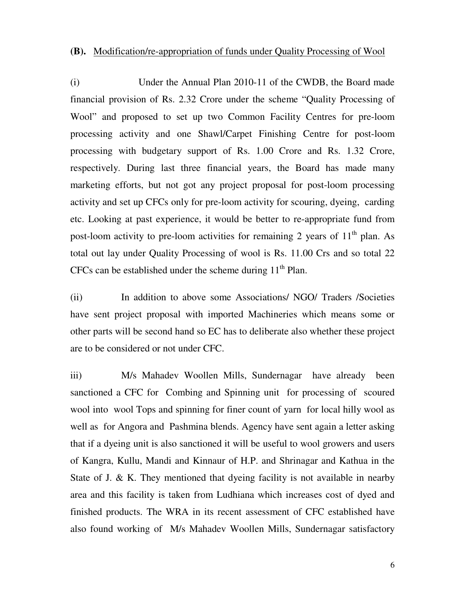#### **(B).** Modification/re-appropriation of funds under Quality Processing of Wool

(i) Under the Annual Plan 2010-11 of the CWDB, the Board made financial provision of Rs. 2.32 Crore under the scheme "Quality Processing of Wool" and proposed to set up two Common Facility Centres for pre-loom processing activity and one Shawl/Carpet Finishing Centre for post-loom processing with budgetary support of Rs. 1.00 Crore and Rs. 1.32 Crore, respectively. During last three financial years, the Board has made many marketing efforts, but not got any project proposal for post-loom processing activity and set up CFCs only for pre-loom activity for scouring, dyeing, carding etc. Looking at past experience, it would be better to re-appropriate fund from post-loom activity to pre-loom activities for remaining 2 years of  $11<sup>th</sup>$  plan. As total out lay under Quality Processing of wool is Rs. 11.00 Crs and so total 22 CFCs can be established under the scheme during  $11<sup>th</sup>$  Plan.

(ii) In addition to above some Associations/ NGO/ Traders /Societies have sent project proposal with imported Machineries which means some or other parts will be second hand so EC has to deliberate also whether these project are to be considered or not under CFC.

iii) M/s Mahadev Woollen Mills, Sundernagarhave already been sanctioned a CFC for Combing and Spinning unit for processing of scoured wool into wool Tops and spinning for finer count of yarn for local hilly wool as well as for Angora and Pashmina blends. Agency have sent again a letter asking that if a dyeing unit is also sanctioned it will be useful to wool growers and users of Kangra, Kullu, Mandi and Kinnaur of H.P. and Shrinagar and Kathua in the State of J. & K. They mentioned that dyeing facility is not available in nearby area and this facility is taken from Ludhiana which increases cost of dyed and finished products. The WRA in its recent assessment of CFC established have also found working of M/s Mahadev Woollen Mills, Sundernagar satisfactory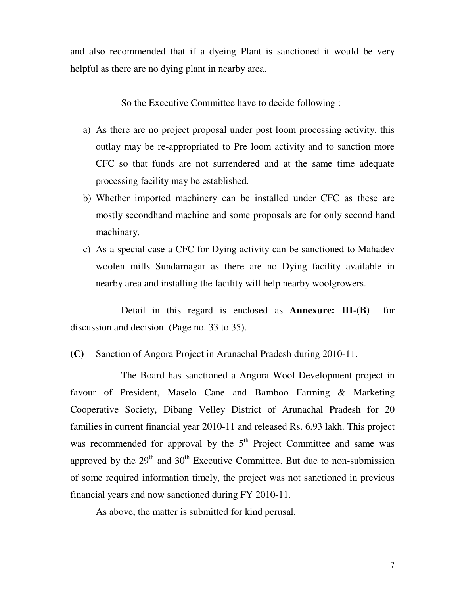and also recommended that if a dyeing Plant is sanctioned it would be very helpful as there are no dying plant in nearby area.

So the Executive Committee have to decide following :

- a) As there are no project proposal under post loom processing activity, this outlay may be re-appropriated to Pre loom activity and to sanction more CFC so that funds are not surrendered and at the same time adequate processing facility may be established.
- b) Whether imported machinery can be installed under CFC as these are mostly secondhand machine and some proposals are for only second hand machinary.
- c) As a special case a CFC for Dying activity can be sanctioned to Mahadev woolen mills Sundarnagar as there are no Dying facility available in nearby area and installing the facility will help nearby woolgrowers.

 Detail in this regard is enclosed as **Annexure: III-(B)** for discussion and decision. (Page no. 33 to 35).

#### **(C)** Sanction of Angora Project in Arunachal Pradesh during 2010-11.

 The Board has sanctioned a Angora Wool Development project in favour of President, Maselo Cane and Bamboo Farming & Marketing Cooperative Society, Dibang Velley District of Arunachal Pradesh for 20 families in current financial year 2010-11 and released Rs. 6.93 lakh. This project was recommended for approval by the  $5<sup>th</sup>$  Project Committee and same was approved by the  $29<sup>th</sup>$  and  $30<sup>th</sup>$  Executive Committee. But due to non-submission of some required information timely, the project was not sanctioned in previous financial years and now sanctioned during FY 2010-11.

As above, the matter is submitted for kind perusal.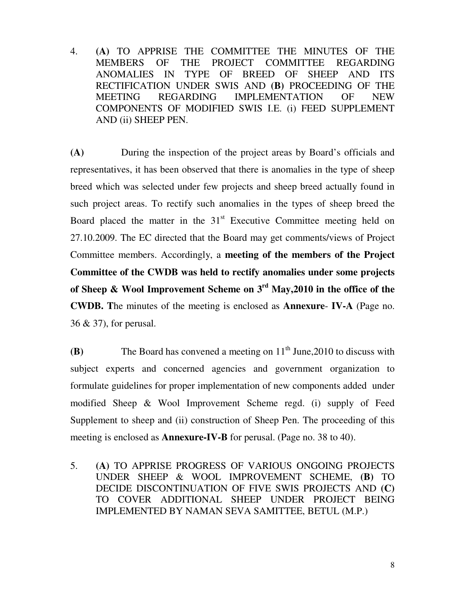4. **(A)** TO APPRISE THE COMMITTEE THE MINUTES OF THE MEMBERS OF THE PROJECT COMMITTEE REGARDING ANOMALIES IN TYPE OF BREED OF SHEEP AND ITS RECTIFICATION UNDER SWIS AND **(B)** PROCEEDING OF THE MEETING REGARDING IMPLEMENTATION OF NEW COMPONENTS OF MODIFIED SWIS I.E. (i) FEED SUPPLEMENT AND (ii) SHEEP PEN.

**(A)** During the inspection of the project areas by Board's officials and representatives, it has been observed that there is anomalies in the type of sheep breed which was selected under few projects and sheep breed actually found in such project areas. To rectify such anomalies in the types of sheep breed the Board placed the matter in the  $31<sup>st</sup>$  Executive Committee meeting held on 27.10.2009. The EC directed that the Board may get comments/views of Project Committee members. Accordingly, a **meeting of the members of the Project Committee of the CWDB was held to rectify anomalies under some projects of Sheep & Wool Improvement Scheme on 3rd May,2010 in the office of the CWDB. T**he minutes of the meeting is enclosed as **Annexure**- **IV-A** (Page no. 36 & 37), for perusal.

**(B)** The Board has convened a meeting on  $11<sup>th</sup>$  June, 2010 to discuss with subject experts and concerned agencies and government organization to formulate guidelines for proper implementation of new components added under modified Sheep & Wool Improvement Scheme regd. (i) supply of Feed Supplement to sheep and (ii) construction of Sheep Pen. The proceeding of this meeting is enclosed as **Annexure-IV-B** for perusal. (Page no. 38 to 40).

5. **(A)** TO APPRISE PROGRESS OF VARIOUS ONGOING PROJECTS UNDER SHEEP & WOOL IMPROVEMENT SCHEME, **(B)** TO DECIDE DISCONTINUATION OF FIVE SWIS PROJECTS AND **(C)** TO COVER ADDITIONAL SHEEP UNDER PROJECT BEING IMPLEMENTED BY NAMAN SEVA SAMITTEE, BETUL (M.P.)

8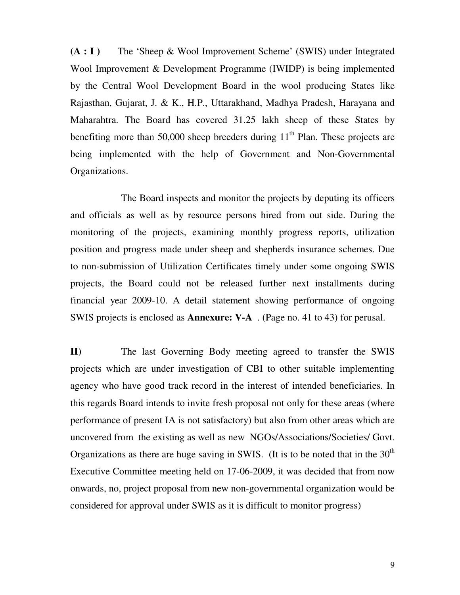**(A : I )** The 'Sheep & Wool Improvement Scheme' (SWIS) under Integrated Wool Improvement & Development Programme (IWIDP) is being implemented by the Central Wool Development Board in the wool producing States like Rajasthan, Gujarat, J. & K., H.P., Uttarakhand, Madhya Pradesh, Harayana and Maharahtra. The Board has covered 31.25 lakh sheep of these States by benefiting more than  $50,000$  sheep breeders during  $11<sup>th</sup>$  Plan. These projects are being implemented with the help of Government and Non-Governmental Organizations.

 The Board inspects and monitor the projects by deputing its officers and officials as well as by resource persons hired from out side. During the monitoring of the projects, examining monthly progress reports, utilization position and progress made under sheep and shepherds insurance schemes. Due to non-submission of Utilization Certificates timely under some ongoing SWIS projects, the Board could not be released further next installments during financial year 2009-10. A detail statement showing performance of ongoing SWIS projects is enclosed as **Annexure: V-A** . (Page no. 41 to 43) for perusal.

**II)** The last Governing Body meeting agreed to transfer the SWIS projects which are under investigation of CBI to other suitable implementing agency who have good track record in the interest of intended beneficiaries. In this regards Board intends to invite fresh proposal not only for these areas (where performance of present IA is not satisfactory) but also from other areas which are uncovered from the existing as well as new NGOs/Associations/Societies/ Govt. Organizations as there are huge saving in SWIS. (It is to be noted that in the  $30<sup>th</sup>$ Executive Committee meeting held on 17-06-2009, it was decided that from now onwards, no, project proposal from new non-governmental organization would be considered for approval under SWIS as it is difficult to monitor progress)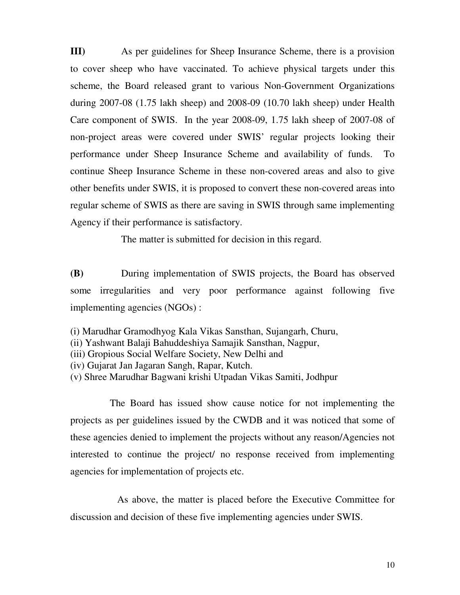**III)** As per guidelines for Sheep Insurance Scheme, there is a provision to cover sheep who have vaccinated. To achieve physical targets under this scheme, the Board released grant to various Non-Government Organizations during 2007-08 (1.75 lakh sheep) and 2008-09 (10.70 lakh sheep) under Health Care component of SWIS. In the year 2008-09, 1.75 lakh sheep of 2007-08 of non-project areas were covered under SWIS' regular projects looking their performance under Sheep Insurance Scheme and availability of funds. To continue Sheep Insurance Scheme in these non-covered areas and also to give other benefits under SWIS, it is proposed to convert these non-covered areas into regular scheme of SWIS as there are saving in SWIS through same implementing Agency if their performance is satisfactory.

The matter is submitted for decision in this regard.

**(B)** During implementation of SWIS projects, the Board has observed some irregularities and very poor performance against following five implementing agencies (NGOs) :

- (i) Marudhar Gramodhyog Kala Vikas Sansthan, Sujangarh, Churu,
- (ii) Yashwant Balaji Bahuddeshiya Samajik Sansthan, Nagpur,
- (iii) Gropious Social Welfare Society, New Delhi and
- (iv) Gujarat Jan Jagaran Sangh, Rapar, Kutch.
- (v) Shree Marudhar Bagwani krishi Utpadan Vikas Samiti, Jodhpur

 The Board has issued show cause notice for not implementing the projects as per guidelines issued by the CWDB and it was noticed that some of these agencies denied to implement the projects without any reason/Agencies not interested to continue the project/ no response received from implementing agencies for implementation of projects etc.

 As above, the matter is placed before the Executive Committee for discussion and decision of these five implementing agencies under SWIS.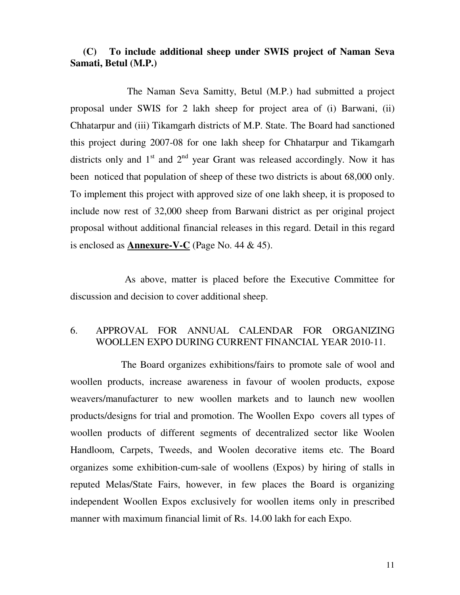### **(C) To include additional sheep under SWIS project of Naman Seva Samati, Betul (M.P.)**

 The Naman Seva Samitty, Betul (M.P.) had submitted a project proposal under SWIS for 2 lakh sheep for project area of (i) Barwani, (ii) Chhatarpur and (iii) Tikamgarh districts of M.P. State. The Board had sanctioned this project during 2007-08 for one lakh sheep for Chhatarpur and Tikamgarh districts only and  $1<sup>st</sup>$  and  $2<sup>nd</sup>$  year Grant was released accordingly. Now it has been noticed that population of sheep of these two districts is about 68,000 only. To implement this project with approved size of one lakh sheep, it is proposed to include now rest of 32,000 sheep from Barwani district as per original project proposal without additional financial releases in this regard. Detail in this regard is enclosed as **Annexure-V-C** (Page No. 44 & 45).

 As above, matter is placed before the Executive Committee for discussion and decision to cover additional sheep.

### 6. APPROVAL FOR ANNUAL CALENDAR FOR ORGANIZING WOOLLEN EXPO DURING CURRENT FINANCIAL YEAR 2010-11.

 The Board organizes exhibitions/fairs to promote sale of wool and woollen products, increase awareness in favour of woolen products, expose weavers/manufacturer to new woollen markets and to launch new woollen products/designs for trial and promotion. The Woollen Expo covers all types of woollen products of different segments of decentralized sector like Woolen Handloom, Carpets, Tweeds, and Woolen decorative items etc. The Board organizes some exhibition-cum-sale of woollens (Expos) by hiring of stalls in reputed Melas/State Fairs, however, in few places the Board is organizing independent Woollen Expos exclusively for woollen items only in prescribed manner with maximum financial limit of Rs. 14.00 lakh for each Expo.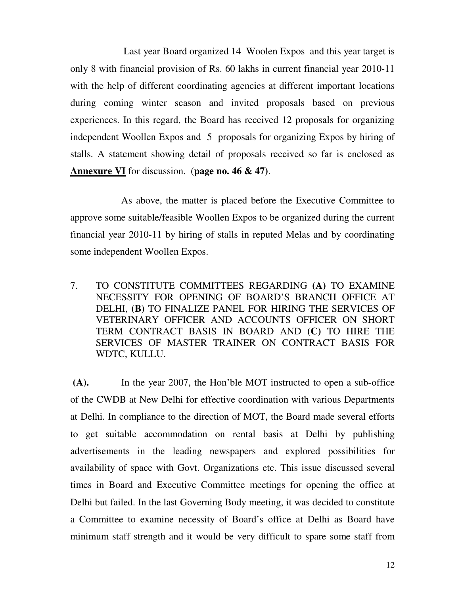Last year Board organized 14 Woolen Expos and this year target is only 8 with financial provision of Rs. 60 lakhs in current financial year 2010-11 with the help of different coordinating agencies at different important locations during coming winter season and invited proposals based on previous experiences. In this regard, the Board has received 12 proposals for organizing independent Woollen Expos and 5 proposals for organizing Expos by hiring of stalls. A statement showing detail of proposals received so far is enclosed as **Annexure VI** for discussion. (**page no. 46 & 47)**.

 As above, the matter is placed before the Executive Committee to approve some suitable/feasible Woollen Expos to be organized during the current financial year 2010-11 by hiring of stalls in reputed Melas and by coordinating some independent Woollen Expos.

7. TO CONSTITUTE COMMITTEES REGARDING **(A)** TO EXAMINE NECESSITY FOR OPENING OF BOARD'S BRANCH OFFICE AT DELHI, **(B)** TO FINALIZE PANEL FOR HIRING THE SERVICES OF VETERINARY OFFICER AND ACCOUNTS OFFICER ON SHORT TERM CONTRACT BASIS IN BOARD AND **(C)** TO HIRE THE SERVICES OF MASTER TRAINER ON CONTRACT BASIS FOR WDTC, KULLU.

**(A).** In the year 2007, the Hon'ble MOT instructed to open a sub-office of the CWDB at New Delhi for effective coordination with various Departments at Delhi. In compliance to the direction of MOT, the Board made several efforts to get suitable accommodation on rental basis at Delhi by publishing advertisements in the leading newspapers and explored possibilities for availability of space with Govt. Organizations etc. This issue discussed several times in Board and Executive Committee meetings for opening the office at Delhi but failed. In the last Governing Body meeting, it was decided to constitute a Committee to examine necessity of Board's office at Delhi as Board have minimum staff strength and it would be very difficult to spare some staff from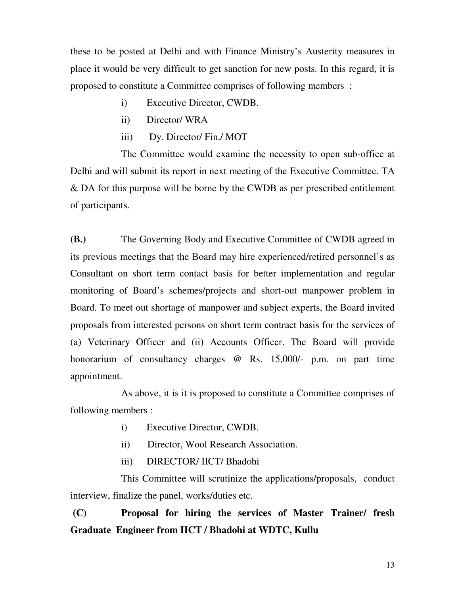these to be posted at Delhi and with Finance Ministry's Austerity measures in place it would be very difficult to get sanction for new posts. In this regard, it is proposed to constitute a Committee comprises of following members :

- i) Executive Director, CWDB.
- ii) Director/ WRA
- iii) Dy. Director/ Fin./ MOT

 The Committee would examine the necessity to open sub-office at Delhi and will submit its report in next meeting of the Executive Committee. TA & DA for this purpose will be borne by the CWDB as per prescribed entitlement of participants.

**(B.)** The Governing Body and Executive Committee of CWDB agreed in its previous meetings that the Board may hire experienced/retired personnel's as Consultant on short term contact basis for better implementation and regular monitoring of Board's schemes/projects and short-out manpower problem in Board. To meet out shortage of manpower and subject experts, the Board invited proposals from interested persons on short term contract basis for the services of (a) Veterinary Officer and (ii) Accounts Officer. The Board will provide honorarium of consultancy charges @ Rs. 15,000/- p.m. on part time appointment.

 As above, it is it is proposed to constitute a Committee comprises of following members :

- i) Executive Director, CWDB.
- ii) Director, Wool Research Association.
- iii) DIRECTOR/ IICT/ Bhadohi

 This Committee will scrutinize the applications/proposals, conduct interview, finalize the panel, works/duties etc.

**(C) Proposal for hiring the services of Master Trainer/ fresh Graduate Engineer from IICT / Bhadohi at WDTC, Kullu**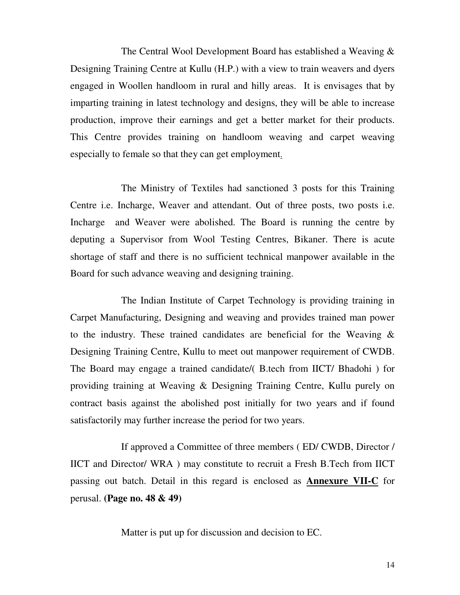The Central Wool Development Board has established a Weaving & Designing Training Centre at Kullu (H.P.) with a view to train weavers and dyers engaged in Woollen handloom in rural and hilly areas. It is envisages that by imparting training in latest technology and designs, they will be able to increase production, improve their earnings and get a better market for their products. This Centre provides training on handloom weaving and carpet weaving especially to female so that they can get employment.

 The Ministry of Textiles had sanctioned 3 posts for this Training Centre i.e. Incharge, Weaver and attendant. Out of three posts, two posts i.e. Incharge and Weaver were abolished. The Board is running the centre by deputing a Supervisor from Wool Testing Centres, Bikaner. There is acute shortage of staff and there is no sufficient technical manpower available in the Board for such advance weaving and designing training.

 The Indian Institute of Carpet Technology is providing training in Carpet Manufacturing, Designing and weaving and provides trained man power to the industry. These trained candidates are beneficial for the Weaving & Designing Training Centre, Kullu to meet out manpower requirement of CWDB. The Board may engage a trained candidate/( B.tech from IICT/ Bhadohi ) for providing training at Weaving & Designing Training Centre, Kullu purely on contract basis against the abolished post initially for two years and if found satisfactorily may further increase the period for two years.

 If approved a Committee of three members ( ED/ CWDB, Director / IICT and Director/ WRA ) may constitute to recruit a Fresh B.Tech from IICT passing out batch. Detail in this regard is enclosed as **Annexure VII-C** for perusal. **(Page no. 48 & 49)** 

Matter is put up for discussion and decision to EC.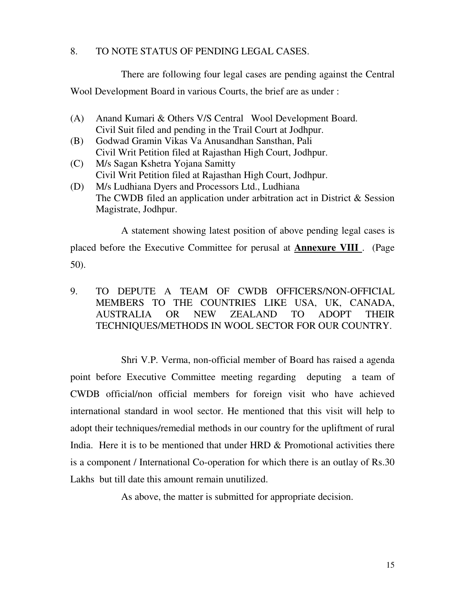### 8. TO NOTE STATUS OF PENDING LEGAL CASES.

There are following four legal cases are pending against the Central

Wool Development Board in various Courts, the brief are as under :

- (A) Anand Kumari & Others V/S Central Wool Development Board. Civil Suit filed and pending in the Trail Court at Jodhpur.
- (B) Godwad Gramin Vikas Va Anusandhan Sansthan, Pali Civil Writ Petition filed at Rajasthan High Court, Jodhpur.
- (C) M/s Sagan Kshetra Yojana Samitty Civil Writ Petition filed at Rajasthan High Court, Jodhpur.
- (D) M/s Ludhiana Dyers and Processors Ltd., Ludhiana The CWDB filed an application under arbitration act in District & Session Magistrate, Jodhpur.

 A statement showing latest position of above pending legal cases is placed before the Executive Committee for perusal at **Annexure VIII** . (Page 50).

### 9. TO DEPUTE A TEAM OF CWDB OFFICERS/NON-OFFICIAL MEMBERS TO THE COUNTRIES LIKE USA, UK, CANADA, AUSTRALIA OR NEW ZEALAND TO ADOPT THEIR TECHNIQUES/METHODS IN WOOL SECTOR FOR OUR COUNTRY.

 Shri V.P. Verma, non-official member of Board has raised a agenda point before Executive Committee meeting regarding deputing a team of CWDB official/non official members for foreign visit who have achieved international standard in wool sector. He mentioned that this visit will help to adopt their techniques/remedial methods in our country for the upliftment of rural India. Here it is to be mentioned that under HRD & Promotional activities there is a component / International Co-operation for which there is an outlay of Rs.30 Lakhs but till date this amount remain unutilized.

As above, the matter is submitted for appropriate decision.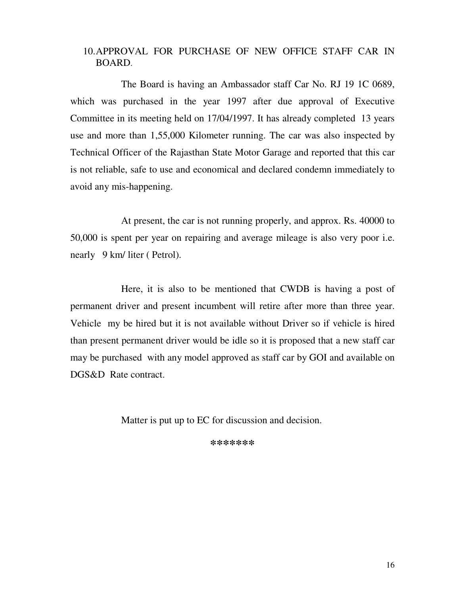### 10.APPROVAL FOR PURCHASE OF NEW OFFICE STAFF CAR IN BOARD.

 The Board is having an Ambassador staff Car No. RJ 19 1C 0689, which was purchased in the year 1997 after due approval of Executive Committee in its meeting held on 17/04/1997. It has already completed 13 years use and more than 1,55,000 Kilometer running. The car was also inspected by Technical Officer of the Rajasthan State Motor Garage and reported that this car is not reliable, safe to use and economical and declared condemn immediately to avoid any mis-happening.

 At present, the car is not running properly, and approx. Rs. 40000 to 50,000 is spent per year on repairing and average mileage is also very poor i.e. nearly 9 km/ liter ( Petrol).

 Here, it is also to be mentioned that CWDB is having a post of permanent driver and present incumbent will retire after more than three year. Vehicle my be hired but it is not available without Driver so if vehicle is hired than present permanent driver would be idle so it is proposed that a new staff car may be purchased with any model approved as staff car by GOI and available on DGS&D Rate contract.

Matter is put up to EC for discussion and decision.

**\*\*\*\*\*\*\***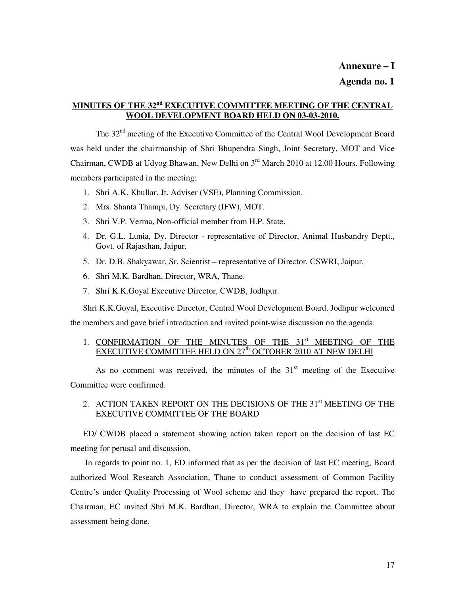### **MINUTES OF THE 32nd EXECUTIVE COMMITTEE MEETING OF THE CENTRAL WOOL DEVELOPMENT BOARD HELD ON 03-03-2010.**

 The 32nd meeting of the Executive Committee of the Central Wool Development Board was held under the chairmanship of Shri Bhupendra Singh, Joint Secretary, MOT and Vice Chairman, CWDB at Udyog Bhawan, New Delhi on  $3<sup>rd</sup>$  March 2010 at 12.00 Hours. Following members participated in the meeting:

- 1. Shri A.K. Khullar, Jt. Adviser (VSE), Planning Commission.
- 2. Mrs. Shanta Thampi, Dy. Secretary (IFW), MOT.
- 3. Shri V.P. Verma, Non-official member from H.P. State.
- 4. Dr. G.L. Lunia, Dy. Director representative of Director, Animal Husbandry Deptt., Govt. of Rajasthan, Jaipur.
- 5. Dr. D.B. Shakyawar, Sr. Scientist representative of Director, CSWRI, Jaipur.
- 6. Shri M.K. Bardhan, Director, WRA, Thane.
- 7. Shri K.K.Goyal Executive Director, CWDB, Jodhpur.

Shri K.K.Goyal, Executive Director, Central Wool Development Board, Jodhpur welcomed the members and gave brief introduction and invited point-wise discussion on the agenda.

#### 1. CONFIRMATION OF THE MINUTES OF THE 31<sup>st</sup> MEETING OF THE EXECUTIVE COMMITTEE HELD ON  $27<sup>th</sup>$  OCTOBER 2010 AT NEW DELHI

As no comment was received, the minutes of the  $31<sup>st</sup>$  meeting of the Executive Committee were confirmed.

#### 2. ACTION TAKEN REPORT ON THE DECISIONS OF THE 31<sup>st</sup> MEETING OF THE EXECUTIVE COMMITTEE OF THE BOARD

ED/ CWDB placed a statement showing action taken report on the decision of last EC meeting for perusal and discussion.

 In regards to point no. 1, ED informed that as per the decision of last EC meeting, Board authorized Wool Research Association, Thane to conduct assessment of Common Facility Centre's under Quality Processing of Wool scheme and they have prepared the report. The Chairman, EC invited Shri M.K. Bardhan, Director, WRA to explain the Committee about assessment being done.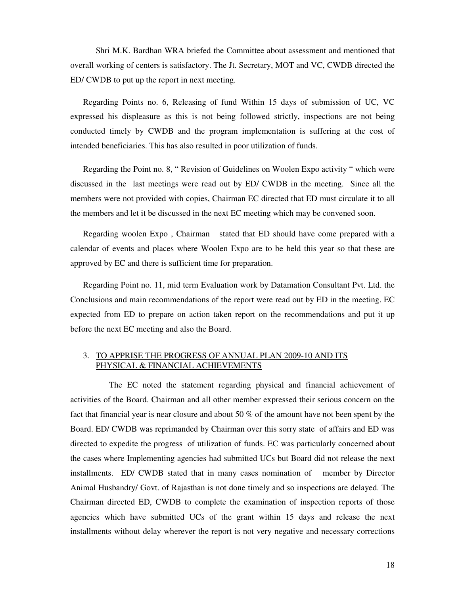Shri M.K. Bardhan WRA briefed the Committee about assessment and mentioned that overall working of centers is satisfactory. The Jt. Secretary, MOT and VC, CWDB directed the ED/ CWDB to put up the report in next meeting.

Regarding Points no. 6, Releasing of fund Within 15 days of submission of UC, VC expressed his displeasure as this is not being followed strictly, inspections are not being conducted timely by CWDB and the program implementation is suffering at the cost of intended beneficiaries. This has also resulted in poor utilization of funds.

Regarding the Point no. 8, " Revision of Guidelines on Woolen Expo activity " which were discussed in the last meetings were read out by ED/ CWDB in the meeting. Since all the members were not provided with copies, Chairman EC directed that ED must circulate it to all the members and let it be discussed in the next EC meeting which may be convened soon.

Regarding woolen Expo , Chairman stated that ED should have come prepared with a calendar of events and places where Woolen Expo are to be held this year so that these are approved by EC and there is sufficient time for preparation.

Regarding Point no. 11, mid term Evaluation work by Datamation Consultant Pvt. Ltd. the Conclusions and main recommendations of the report were read out by ED in the meeting. EC expected from ED to prepare on action taken report on the recommendations and put it up before the next EC meeting and also the Board.

#### 3. TO APPRISE THE PROGRESS OF ANNUAL PLAN 2009-10 AND ITS PHYSICAL & FINANCIAL ACHIEVEMENTS

 The EC noted the statement regarding physical and financial achievement of activities of the Board. Chairman and all other member expressed their serious concern on the fact that financial year is near closure and about 50 % of the amount have not been spent by the Board. ED/ CWDB was reprimanded by Chairman over this sorry state of affairs and ED was directed to expedite the progress of utilization of funds. EC was particularly concerned about the cases where Implementing agencies had submitted UCs but Board did not release the next installments. ED/ CWDB stated that in many cases nomination of member by Director Animal Husbandry/ Govt. of Rajasthan is not done timely and so inspections are delayed. The Chairman directed ED, CWDB to complete the examination of inspection reports of those agencies which have submitted UCs of the grant within 15 days and release the next installments without delay wherever the report is not very negative and necessary corrections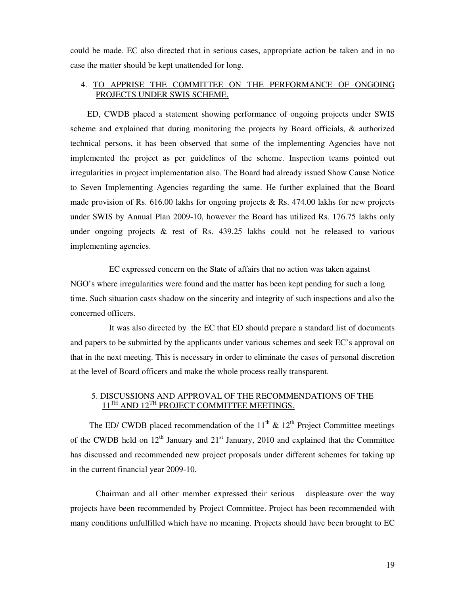could be made. EC also directed that in serious cases, appropriate action be taken and in no case the matter should be kept unattended for long.

#### 4. TO APPRISE THE COMMITTEE ON THE PERFORMANCE OF ONGOING PROJECTS UNDER SWIS SCHEME.

 ED, CWDB placed a statement showing performance of ongoing projects under SWIS scheme and explained that during monitoring the projects by Board officials, & authorized technical persons, it has been observed that some of the implementing Agencies have not implemented the project as per guidelines of the scheme. Inspection teams pointed out irregularities in project implementation also. The Board had already issued Show Cause Notice to Seven Implementing Agencies regarding the same. He further explained that the Board made provision of Rs. 616.00 lakhs for ongoing projects  $\&$  Rs. 474.00 lakhs for new projects under SWIS by Annual Plan 2009-10, however the Board has utilized Rs. 176.75 lakhs only under ongoing projects  $\&$  rest of Rs. 439.25 lakhs could not be released to various implementing agencies.

 EC expressed concern on the State of affairs that no action was taken against NGO's where irregularities were found and the matter has been kept pending for such a long time. Such situation casts shadow on the sincerity and integrity of such inspections and also the concerned officers.

 It was also directed by the EC that ED should prepare a standard list of documents and papers to be submitted by the applicants under various schemes and seek EC's approval on that in the next meeting. This is necessary in order to eliminate the cases of personal discretion at the level of Board officers and make the whole process really transparent.

#### 5. DISCUSSIONS AND APPROVAL OF THE RECOMMENDATIONS OF THE  $11^{TH}$  AND  $12^{TH}$  PROJECT COMMITTEE MEETINGS.

The ED/ CWDB placed recommendation of the  $11<sup>th</sup>$  &  $12<sup>th</sup>$  Project Committee meetings of the CWDB held on  $12<sup>th</sup>$  January and  $21<sup>st</sup>$  January, 2010 and explained that the Committee has discussed and recommended new project proposals under different schemes for taking up in the current financial year 2009-10.

Chairman and all other member expressed their serious displeasure over the way projects have been recommended by Project Committee. Project has been recommended with many conditions unfulfilled which have no meaning. Projects should have been brought to EC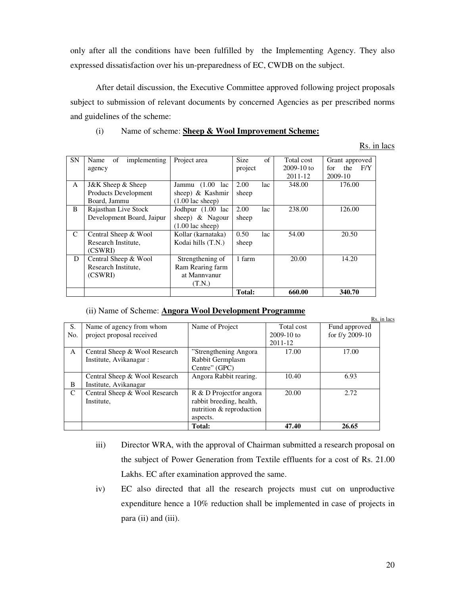only after all the conditions have been fulfilled by the Implementing Agency. They also expressed dissatisfaction over his un-preparedness of EC, CWDB on the subject.

After detail discussion, the Executive Committee approved following project proposals subject to submission of relevant documents by concerned Agencies as per prescribed norms and guidelines of the scheme:

#### (i) Name of scheme: **Sheep & Wool Improvement Scheme:**

Rs. in lacs

| <b>SN</b>    | implementing<br>Name<br>of | Project area               | <b>Size</b> | of  | Total cost   | Grant approved     |
|--------------|----------------------------|----------------------------|-------------|-----|--------------|--------------------|
|              | agency                     |                            | project     |     | $2009-10$ to | F/Y<br>the<br>for. |
|              |                            |                            |             |     | 2011-12      | 2009-10            |
| $\mathsf{A}$ | J&K Sheep & Sheep          | Jammu $(1.00)$<br>lac      | 2.00        | lac | 348.00       | 176.00             |
|              | Products Development       | sheep) $\&$ Kashmir        | sheep       |     |              |                    |
|              | Board, Jammu               | $(1.00 \text{ lac sheep})$ |             |     |              |                    |
| B            | Rajasthan Live Stock       | Jodhpur (1.00 lac          | 2.00        | lac | 238.00       | 126.00             |
|              | Development Board, Jaipur  | sheep) & Nagour            | sheep       |     |              |                    |
|              |                            | $(1.00 \text{ lac sheep})$ |             |     |              |                    |
| C            | Central Sheep & Wool       | Kollar (karnataka)         | 0.50        | lac | 54.00        | 20.50              |
|              | Research Institute.        | Kodai hills (T.N.)         | sheep       |     |              |                    |
|              | (CSWRI)                    |                            |             |     |              |                    |
| D            | Central Sheep & Wool       | Strengthening of           | 1 farm      |     | 20.00        | 14.20              |
|              | Research Institute.        | Ram Rearing farm           |             |     |              |                    |
|              | (CSWRI)                    | at Mannyanur               |             |     |              |                    |
|              |                            | (T.N.)                     |             |     |              |                    |
|              |                            |                            | Total:      |     | 660.00       | 340.70             |

#### (ii) Name of Scheme: **Angora Wool Development Programme**

|             |                               |                          |              |                   | Rs. in lacs |
|-------------|-------------------------------|--------------------------|--------------|-------------------|-------------|
| S.          | Name of agency from whom      | Name of Project          | Total cost   | Fund approved     |             |
| No.         | project proposal received     |                          | $2009-10$ to | for $f/y$ 2009-10 |             |
|             |                               |                          | 2011-12      |                   |             |
| A           | Central Sheep & Wool Research | "Strengthening Angora"   | 17.00        | 17.00             |             |
|             | Institute, Avikanagar:        | Rabbit Germplasm         |              |                   |             |
|             |                               | Centre" (GPC)            |              |                   |             |
|             | Central Sheep & Wool Research | Angora Rabbit rearing.   | 10.40        | 6.93              |             |
| B           | Institute, Avikanagar         |                          |              |                   |             |
| $\mathbf C$ | Central Sheep & Wool Research | R & D Projectfor angora  | 20.00        | 2.72              |             |
|             | Institute,                    | rabbit breeding, health, |              |                   |             |
|             |                               | nutrition & reproduction |              |                   |             |
|             |                               | aspects.                 |              |                   |             |
|             |                               | Total:                   | 47.40        | 26.65             |             |

- iii) Director WRA, with the approval of Chairman submitted a research proposal on the subject of Power Generation from Textile effluents for a cost of Rs. 21.00 Lakhs. EC after examination approved the same.
- iv) EC also directed that all the research projects must cut on unproductive expenditure hence a 10% reduction shall be implemented in case of projects in para (ii) and (iii).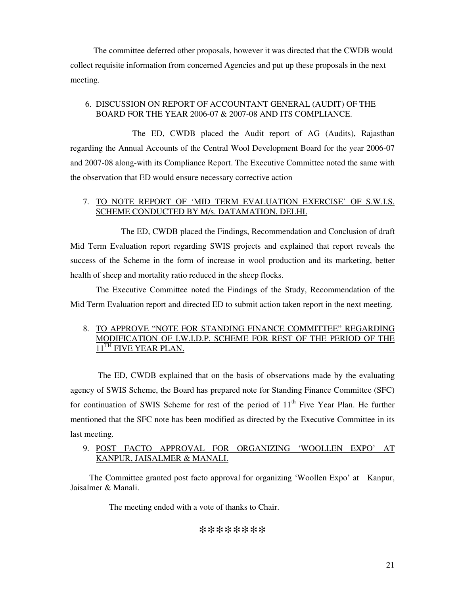The committee deferred other proposals, however it was directed that the CWDB would collect requisite information from concerned Agencies and put up these proposals in the next meeting.

#### 6. DISCUSSION ON REPORT OF ACCOUNTANT GENERAL (AUDIT) OF THE BOARD FOR THE YEAR 2006-07 & 2007-08 AND ITS COMPLIANCE.

 The ED, CWDB placed the Audit report of AG (Audits), Rajasthan regarding the Annual Accounts of the Central Wool Development Board for the year 2006-07 and 2007-08 along-with its Compliance Report. The Executive Committee noted the same with the observation that ED would ensure necessary corrective action

#### 7. TO NOTE REPORT OF 'MID TERM EVALUATION EXERCISE' OF S.W.I.S. SCHEME CONDUCTED BY M/s. DATAMATION, DELHI.

 The ED, CWDB placed the Findings, Recommendation and Conclusion of draft Mid Term Evaluation report regarding SWIS projects and explained that report reveals the success of the Scheme in the form of increase in wool production and its marketing, better health of sheep and mortality ratio reduced in the sheep flocks.

The Executive Committee noted the Findings of the Study, Recommendation of the Mid Term Evaluation report and directed ED to submit action taken report in the next meeting.

#### 8. TO APPROVE "NOTE FOR STANDING FINANCE COMMITTEE" REGARDING MODIFICATION OF I.W.I.D.P. SCHEME FOR REST OF THE PERIOD OF THE 11<sup>TH</sup> FIVE YEAR PLAN.

 The ED, CWDB explained that on the basis of observations made by the evaluating agency of SWIS Scheme, the Board has prepared note for Standing Finance Committee (SFC) for continuation of SWIS Scheme for rest of the period of  $11<sup>th</sup>$  Five Year Plan. He further mentioned that the SFC note has been modified as directed by the Executive Committee in its last meeting.

#### 9. POST FACTO APPROVAL FOR ORGANIZING 'WOOLLEN EXPO' AT KANPUR, JAISALMER & MANALI.

 The Committee granted post facto approval for organizing 'Woollen Expo' at Kanpur, Jaisalmer & Manali.

The meeting ended with a vote of thanks to Chair.

#### \*\*\*\*\*\*\*\*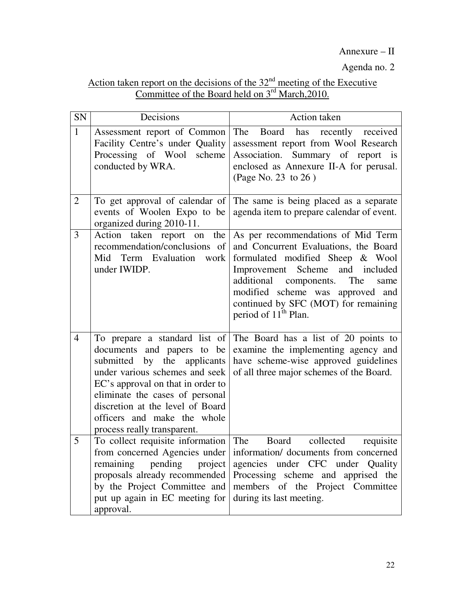Annexure – II

Agenda no. 2

## Action taken report on the decisions of the  $32<sup>nd</sup>$  meeting of the Executive Committee of the Board held on 3<sup>rd</sup> March, 2010.

| SN             | Decisions                                                                                                                                                                                                                                                                                                 | Action taken                                                                                                                                                                                                                                                                                                |
|----------------|-----------------------------------------------------------------------------------------------------------------------------------------------------------------------------------------------------------------------------------------------------------------------------------------------------------|-------------------------------------------------------------------------------------------------------------------------------------------------------------------------------------------------------------------------------------------------------------------------------------------------------------|
| $\mathbf{1}$   | Assessment report of Common<br>Facility Centre's under Quality<br>Processing of Wool scheme<br>conducted by WRA.                                                                                                                                                                                          | The<br>Board has recently received<br>assessment report from Wool Research<br>Association. Summary of report is<br>enclosed as Annexure II-A for perusal.<br>(Page No. 23 to 26)                                                                                                                            |
| $\overline{2}$ | To get approval of calendar of<br>events of Woolen Expo to be<br>organized during 2010-11.                                                                                                                                                                                                                | The same is being placed as a separate<br>agenda item to prepare calendar of event.                                                                                                                                                                                                                         |
| 3              | Action taken report on<br>the<br>recommendation/conclusions of<br>Mid<br>Term Evaluation<br>work<br>under IWIDP.                                                                                                                                                                                          | As per recommendations of Mid Term<br>and Concurrent Evaluations, the Board<br>formulated modified Sheep & Wool<br>Improvement Scheme<br>and included<br>additional components. The<br>same<br>modified scheme was approved and<br>continued by SFC (MOT) for remaining<br>period of 11 <sup>th</sup> Plan. |
| $\overline{4}$ | To prepare a standard list of<br>documents and papers to be<br>by the applicants<br>submitted<br>under various schemes and seek<br>EC's approval on that in order to<br>eliminate the cases of personal<br>discretion at the level of Board<br>officers and make the whole<br>process really transparent. | The Board has a list of 20 points to<br>examine the implementing agency and<br>have scheme-wise approved guidelines<br>of all three major schemes of the Board.                                                                                                                                             |
| 5              | To collect requisite information<br>from concerned Agencies under<br>remaining<br>pending<br>project<br>by the Project Committee and<br>put up again in EC meeting for<br>approval.                                                                                                                       | The<br><b>Board</b><br>collected<br>requisite<br>information/ documents from concerned<br>agencies under CFC under Quality<br>proposals already recommended Processing scheme and apprised the<br>members of the Project Committee<br>during its last meeting.                                              |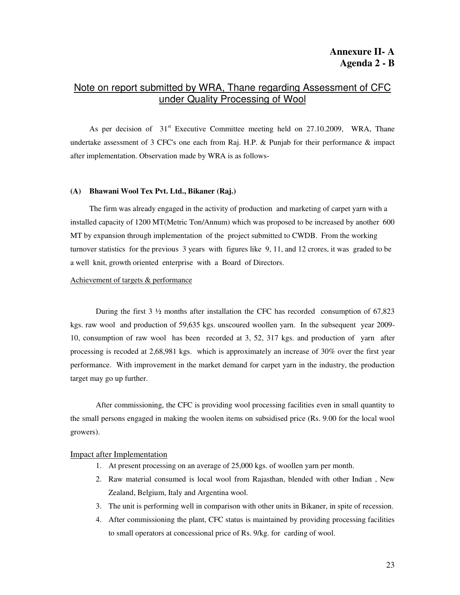### Note on report submitted by WRA, Thane regarding Assessment of CFC under Quality Processing of Wool

As per decision of  $31<sup>st</sup>$  Executive Committee meeting held on 27.10.2009, WRA, Thane undertake assessment of 3 CFC's one each from Raj. H.P.  $\&$  Punjab for their performance  $\&$  impact after implementation. Observation made by WRA is as follows-

#### **(A) Bhawani Wool Tex Pvt. Ltd., Bikaner (Raj.)**

 The firm was already engaged in the activity of production and marketing of carpet yarn with a installed capacity of 1200 MT(Metric Ton/Annum) which was proposed to be increased by another 600 MT by expansion through implementation of the project submitted to CWDB. From the working turnover statistics for the previous 3 years with figures like 9, 11, and 12 crores, it was graded to be a well knit, growth oriented enterprise with a Board of Directors.

#### Achievement of targets & performance

During the first 3  $\frac{1}{2}$  months after installation the CFC has recorded consumption of 67,823 kgs. raw wool and production of 59,635 kgs. unscoured woollen yarn. In the subsequent year 2009- 10, consumption of raw wool has been recorded at 3, 52, 317 kgs. and production of yarn after processing is recoded at 2,68,981 kgs. which is approximately an increase of 30% over the first year performance. With improvement in the market demand for carpet yarn in the industry, the production target may go up further.

After commissioning, the CFC is providing wool processing facilities even in small quantity to the small persons engaged in making the woolen items on subsidised price (Rs. 9.00 for the local wool growers).

#### Impact after Implementation

- 1. At present processing on an average of 25,000 kgs. of woollen yarn per month.
- 2. Raw material consumed is local wool from Rajasthan, blended with other Indian , New Zealand, Belgium, Italy and Argentina wool.
- 3. The unit is performing well in comparison with other units in Bikaner, in spite of recession.
- 4. After commissioning the plant, CFC status is maintained by providing processing facilities to small operators at concessional price of Rs. 9/kg. for carding of wool.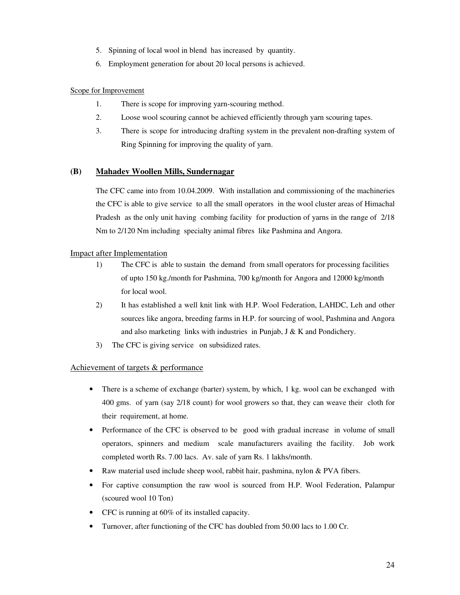- 5. Spinning of local wool in blend has increased by quantity.
- 6. Employment generation for about 20 local persons is achieved.

#### Scope for Improvement

- 1. There is scope for improving yarn-scouring method.
- 2. Loose wool scouring cannot be achieved efficiently through yarn scouring tapes.
- 3. There is scope for introducing drafting system in the prevalent non-drafting system of Ring Spinning for improving the quality of yarn.

#### **(B) Mahadev Woollen Mills, Sundernagar**

The CFC came into from 10.04.2009. With installation and commissioning of the machineries the CFC is able to give service to all the small operators in the wool cluster areas of Himachal Pradesh as the only unit having combing facility for production of yarns in the range of 2/18 Nm to 2/120 Nm including specialty animal fibres like Pashmina and Angora.

#### Impact after Implementation

- 1) The CFC is able to sustain the demand from small operators for processing facilities of upto 150 kg./month for Pashmina, 700 kg/month for Angora and 12000 kg/month for local wool.
- 2) It has established a well knit link with H.P. Wool Federation, LAHDC, Leh and other sources like angora, breeding farms in H.P. for sourcing of wool, Pashmina and Angora and also marketing links with industries in Punjab, J & K and Pondichery.
- 3) The CFC is giving service on subsidized rates.

#### Achievement of targets & performance

- There is a scheme of exchange (barter) system, by which, 1 kg. wool can be exchanged with 400 gms. of yarn (say 2/18 count) for wool growers so that, they can weave their cloth for their requirement, at home.
- Performance of the CFC is observed to be good with gradual increase in volume of small operators, spinners and medium scale manufacturers availing the facility. Job work completed worth Rs. 7.00 lacs. Av. sale of yarn Rs. 1 lakhs/month.
- Raw material used include sheep wool, rabbit hair, pashmina, nylon & PVA fibers.
- For captive consumption the raw wool is sourced from H.P. Wool Federation, Palampur (scoured wool 10 Ton)
- CFC is running at 60% of its installed capacity.
- Turnover, after functioning of the CFC has doubled from 50.00 lacs to 1.00 Cr.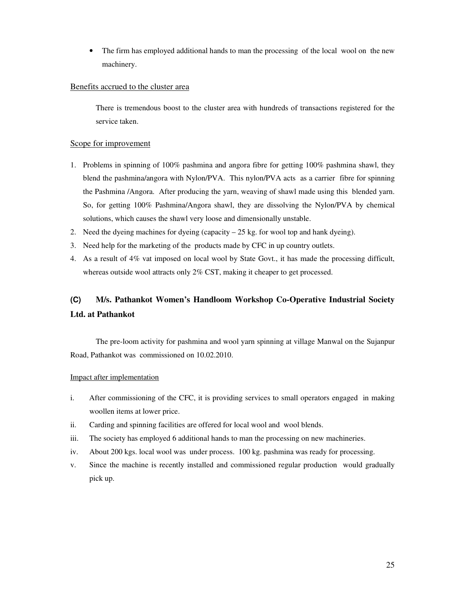• The firm has employed additional hands to man the processing of the local wool on the new machinery.

#### Benefits accrued to the cluster area

There is tremendous boost to the cluster area with hundreds of transactions registered for the service taken.

#### Scope for improvement

- 1. Problems in spinning of 100% pashmina and angora fibre for getting 100% pashmina shawl, they blend the pashmina/angora with Nylon/PVA. This nylon/PVA acts as a carrier fibre for spinning the Pashmina /Angora. After producing the yarn, weaving of shawl made using this blended yarn. So, for getting 100% Pashmina/Angora shawl, they are dissolving the Nylon/PVA by chemical solutions, which causes the shawl very loose and dimensionally unstable.
- 2. Need the dyeing machines for dyeing (capacity  $-25$  kg. for wool top and hank dyeing).
- 3. Need help for the marketing of the products made by CFC in up country outlets.
- 4. As a result of 4% vat imposed on local wool by State Govt., it has made the processing difficult, whereas outside wool attracts only 2% CST, making it cheaper to get processed.

# **(C) M/s. Pathankot Women's Handloom Workshop Co-Operative Industrial Society Ltd. at Pathankot**

The pre-loom activity for pashmina and wool yarn spinning at village Manwal on the Sujanpur Road, Pathankot was commissioned on 10.02.2010.

#### Impact after implementation

- i. After commissioning of the CFC, it is providing services to small operators engaged in making woollen items at lower price.
- ii. Carding and spinning facilities are offered for local wool and wool blends.
- iii. The society has employed 6 additional hands to man the processing on new machineries.
- iv. About 200 kgs. local wool was under process. 100 kg. pashmina was ready for processing.
- v. Since the machine is recently installed and commissioned regular production would gradually pick up.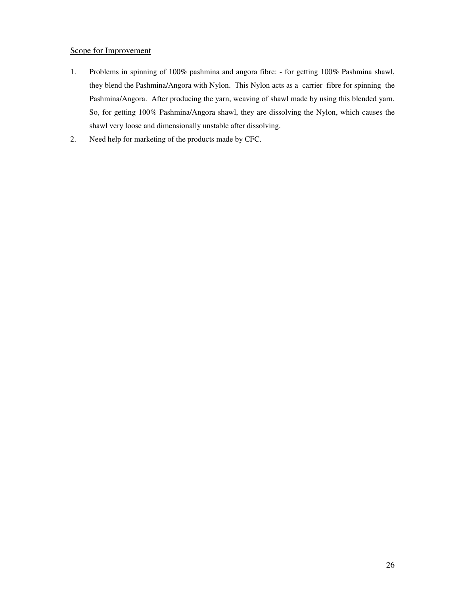#### Scope for Improvement

- 1. Problems in spinning of 100% pashmina and angora fibre: for getting 100% Pashmina shawl, they blend the Pashmina/Angora with Nylon. This Nylon acts as a carrier fibre for spinning the Pashmina/Angora. After producing the yarn, weaving of shawl made by using this blended yarn. So, for getting 100% Pashmina/Angora shawl, they are dissolving the Nylon, which causes the shawl very loose and dimensionally unstable after dissolving.
- 2. Need help for marketing of the products made by CFC.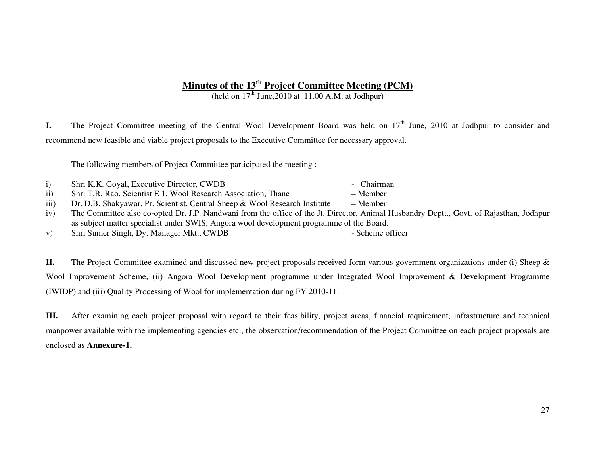#### **Minutes of the 13th Project Committee Meeting (PCM)**  (held on  $17<sup>th</sup>$  June, 2010 at 11.00 A.M. at Jodhpur)

**I.** The Project Committee meeting of the Central Wool Development Board was held on 17<sup>th</sup> June, 2010 at Jodhpur to consider and recommend new feasible and viable project proposals to the Executive Committee for necessary approval.

The following members of Project Committee participated the meeting :

| Shri K.K. Goyal, Executive Director, CWDB | - Chairman |
|-------------------------------------------|------------|
|-------------------------------------------|------------|

- ii) Shri T.R. Rao, Scientist E 1, Wool Research Association, Thane Member
- iii) Dr. D.B. Shakyawar, Pr. Scientist, Central Sheep & Wool Research Institute
- iv) The Committee also co-opted Dr. J.P. Nandwani from the office of the Jt. Director, Animal Husbandry Deptt., Govt. of Rajasthan, Jodhpur as subject matter specialist under SWIS, Angora wool development programme of the Board.
- v) Shri Sumer Singh, Dy. Manager Mkt., CWDB Scheme officer

**II.** The Project Committee examined and discussed new project proposals received form various government organizations under (i) Sheep & Wool Improvement Scheme, (ii) Angora Wool Development programme under Integrated Wool Improvement & Development Programme (IWIDP) and (iii) Quality Processing of Wool for implementation during FY 2010-11.

**III.** After examining each project proposal with regard to their feasibility, project areas, financial requirement, infrastructure and technical manpower available with the implementing agencies etc., the observation/recommendation of the Project Committee on each project proposals are enclosed as **Annexure-1.** 

27

- 
- $-$  Member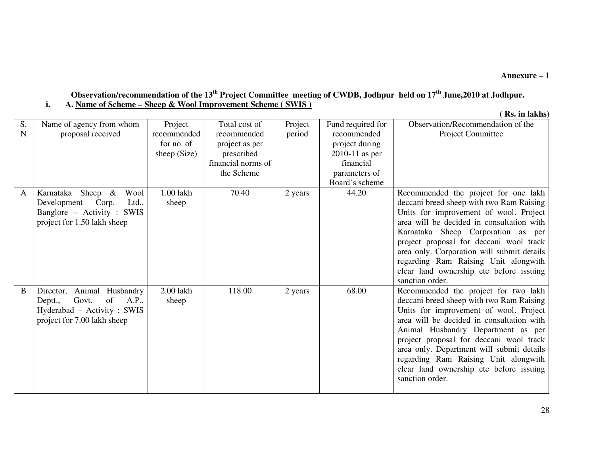#### **Annexure – 1**

### **Observation/recommendation of the 13th Project Committee meeting of CWDB, Jodhpur held on 17th June,2010 at Jodhpur. i. A. Name of Scheme – Sheep & Wool Improvement Scheme ( SWIS )**

**( Rs. in lakhs**)

| S.<br>N | Name of agency from whom<br>proposal received                                                                                 | Project<br>recommended<br>for no. of<br>sheep (Size) | Total cost of<br>recommended<br>project as per<br>prescribed<br>financial norms of<br>the Scheme | Project<br>period | Fund required for<br>recommended<br>project during<br>$2010-11$ as per<br>financial<br>parameters of<br>Board's scheme | Observation/Recommendation of the<br>Project Committee                                                                                                                                                                                                                                                                                                                                                       |
|---------|-------------------------------------------------------------------------------------------------------------------------------|------------------------------------------------------|--------------------------------------------------------------------------------------------------|-------------------|------------------------------------------------------------------------------------------------------------------------|--------------------------------------------------------------------------------------------------------------------------------------------------------------------------------------------------------------------------------------------------------------------------------------------------------------------------------------------------------------------------------------------------------------|
| A       | Karnataka Sheep &<br>Wool<br>Development<br>Corp.<br>Ltd.,<br>Banglore - Activity : SWIS<br>project for 1.50 lakh sheep       | 1.00 lakh<br>sheep                                   | 70.40                                                                                            | 2 years           | 44.20                                                                                                                  | Recommended the project for one lakh<br>deceani breed sheep with two Ram Raising<br>Units for improvement of wool. Project<br>area will be decided in consultation with<br>Karnataka Sheep Corporation as per<br>project proposal for deceani wool track<br>area only. Corporation will submit details<br>regarding Ram Raising Unit alongwith<br>clear land ownership etc before issuing<br>sanction order. |
| B       | Director,<br>Animal Husbandry<br>of<br>Govt.<br>A.P.,<br>Deptt.,<br>Hyderabad – Activity: SWIS<br>project for 7.00 lakh sheep | 2.00 lakh<br>sheep                                   | 118.00                                                                                           | 2 years           | 68.00                                                                                                                  | Recommended the project for two lakh<br>deccani breed sheep with two Ram Raising<br>Units for improvement of wool. Project<br>area will be decided in consultation with<br>Animal Husbandry Department as per<br>project proposal for deccani wool track<br>area only. Department will submit details<br>regarding Ram Raising Unit alongwith<br>clear land ownership etc before issuing<br>sanction order.  |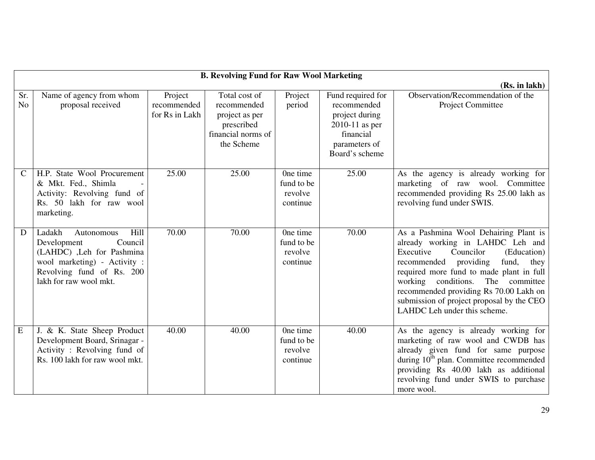|                       | <b>B. Revolving Fund for Raw Wool Marketing</b>                                                                                                                            |                                          |                                                                                                  |                                               |                                                                                                                        |                                                                                                                                                                                                                                                                                                                                                                         |  |
|-----------------------|----------------------------------------------------------------------------------------------------------------------------------------------------------------------------|------------------------------------------|--------------------------------------------------------------------------------------------------|-----------------------------------------------|------------------------------------------------------------------------------------------------------------------------|-------------------------------------------------------------------------------------------------------------------------------------------------------------------------------------------------------------------------------------------------------------------------------------------------------------------------------------------------------------------------|--|
|                       | (Rs. in lakh)                                                                                                                                                              |                                          |                                                                                                  |                                               |                                                                                                                        |                                                                                                                                                                                                                                                                                                                                                                         |  |
| Sr.<br>N <sub>o</sub> | Name of agency from whom<br>proposal received                                                                                                                              | Project<br>recommended<br>for Rs in Lakh | Total cost of<br>recommended<br>project as per<br>prescribed<br>financial norms of<br>the Scheme | Project<br>period                             | Fund required for<br>recommended<br>project during<br>$2010-11$ as per<br>financial<br>parameters of<br>Board's scheme | Observation/Recommendation of the<br>Project Committee                                                                                                                                                                                                                                                                                                                  |  |
| C                     | H.P. State Wool Procurement<br>& Mkt. Fed., Shimla<br>Activity: Revolving fund of<br>Rs. 50 lakh for raw wool<br>marketing.                                                | 25.00                                    | 25.00                                                                                            | One time<br>fund to be<br>revolve<br>continue | 25.00                                                                                                                  | As the agency is already working for<br>marketing of raw wool. Committee<br>recommended providing Rs 25.00 lakh as<br>revolving fund under SWIS.                                                                                                                                                                                                                        |  |
| D                     | Ladakh<br>Hill<br>Autonomous<br>Development<br>Council<br>(LAHDC), Leh for Pashmina<br>wool marketing) - Activity :<br>Revolving fund of Rs. 200<br>lakh for raw wool mkt. | 70.00                                    | 70.00                                                                                            | One time<br>fund to be<br>revolve<br>continue | 70.00                                                                                                                  | As a Pashmina Wool Dehairing Plant is<br>already working in LAHDC Leh and<br>Executive<br>Councilor<br>(Education)<br>recommended<br>providing<br>fund,<br>they<br>required more fund to made plant in full<br>working conditions. The committee<br>recommended providing Rs 70.00 Lakh on<br>submission of project proposal by the CEO<br>LAHDC Leh under this scheme. |  |
| E                     | J. & K. State Sheep Product<br>Development Board, Srinagar -<br>Activity: Revolving fund of<br>Rs. 100 lakh for raw wool mkt.                                              | 40.00                                    | 40.00                                                                                            | One time<br>fund to be<br>revolve<br>continue | 40.00                                                                                                                  | As the agency is already working for<br>marketing of raw wool and CWDB has<br>already given fund for same purpose<br>during 10 <sup>th</sup> plan. Committee recommended<br>providing Rs 40.00 lakh as additional<br>revolving fund under SWIS to purchase<br>more wool.                                                                                                |  |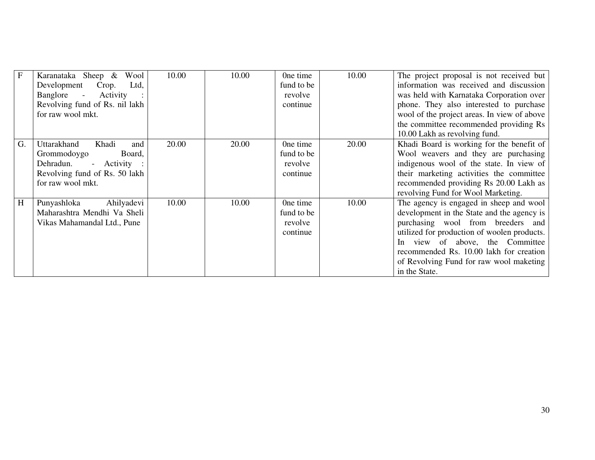| F  | Karanataka Sheep &<br>Wool     | 10.00 | 10.00 | One time   | 10.00 | The project proposal is not received but    |
|----|--------------------------------|-------|-------|------------|-------|---------------------------------------------|
|    | Crop.<br>Development<br>Ltd,   |       |       | fund to be |       | information was received and discussion     |
|    | Banglore -<br>Activity         |       |       | revolve    |       | was held with Karnataka Corporation over    |
|    | Revolving fund of Rs. nil lakh |       |       | continue   |       | phone. They also interested to purchase     |
|    | for raw wool mkt.              |       |       |            |       | wool of the project areas. In view of above |
|    |                                |       |       |            |       | the committee recommended providing Rs      |
|    |                                |       |       |            |       | 10.00 Lakh as revolving fund.               |
| G. | Uttarakhand<br>Khadi<br>and    | 20.00 | 20.00 | One time   | 20.00 | Khadi Board is working for the benefit of   |
|    | Grommodoygo<br>Board,          |       |       | fund to be |       | Wool weavers and they are purchasing        |
|    | Dehradun.<br>- Activity :      |       |       | revolve    |       | indigenous wool of the state. In view of    |
|    | Revolving fund of Rs. 50 lakh  |       |       | continue   |       | their marketing activities the committee    |
|    | for raw wool mkt.              |       |       |            |       | recommended providing Rs 20.00 Lakh as      |
|    |                                |       |       |            |       | revolving Fund for Wool Marketing.          |
| H  | Punyashloka<br>Ahilyadevi      | 10.00 | 10.00 | One time   | 10.00 | The agency is engaged in sheep and wool     |
|    | Maharashtra Mendhi Va Sheli    |       |       | fund to be |       | development in the State and the agency is  |
|    | Vikas Mahamandal Ltd., Pune    |       |       | revolve    |       | purchasing wool from breeders and           |
|    |                                |       |       | continue   |       | utilized for production of woolen products. |
|    |                                |       |       |            |       | In view of above, the Committee             |
|    |                                |       |       |            |       | recommended Rs. 10.00 lakh for creation     |
|    |                                |       |       |            |       | of Revolving Fund for raw wool maketing     |
|    |                                |       |       |            |       | in the State.                               |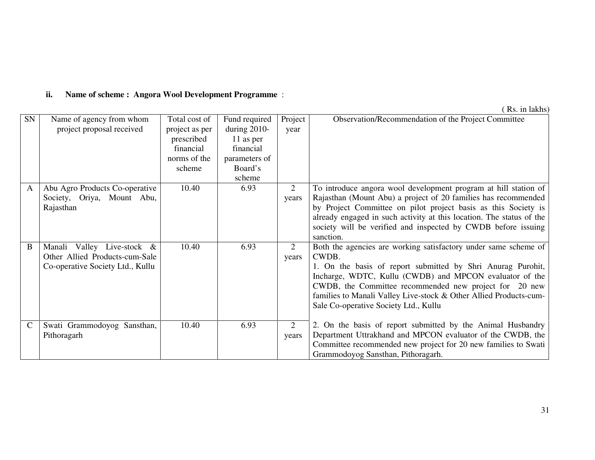### **ii. Name of scheme : Angora Wool Development Programme** :

( Rs. in lakhs)

| SN            | Name of agency from whom<br>project proposal received                                            | Total cost of<br>project as per<br>prescribed<br>financial<br>norms of the<br>scheme | Fund required<br>during $2010$ -<br>11 as per<br>financial<br>parameters of<br>Board's<br>scheme | Project<br>year | Observation/Recommendation of the Project Committee                                                                                                                                                                                                                                                                                                                        |
|---------------|--------------------------------------------------------------------------------------------------|--------------------------------------------------------------------------------------|--------------------------------------------------------------------------------------------------|-----------------|----------------------------------------------------------------------------------------------------------------------------------------------------------------------------------------------------------------------------------------------------------------------------------------------------------------------------------------------------------------------------|
| A             | Abu Agro Products Co-operative<br>Society, Oriya, Mount Abu,<br>Rajasthan                        | 10.40                                                                                | 6.93                                                                                             | 2<br>years      | To introduce angora wool development program at hill station of<br>Rajasthan (Mount Abu) a project of 20 families has recommended<br>by Project Committee on pilot project basis as this Society is<br>already engaged in such activity at this location. The status of the<br>society will be verified and inspected by CWDB before issuing<br>sanction.                  |
| B             | Manali Valley Live-stock &<br>Other Allied Products-cum-Sale<br>Co-operative Society Ltd., Kullu | 10.40                                                                                | 6.93                                                                                             | 2<br>years      | Both the agencies are working satisfactory under same scheme of<br>CWDB.<br>1. On the basis of report submitted by Shri Anurag Purohit,<br>Incharge, WDTC, Kullu (CWDB) and MPCON evaluator of the<br>CWDB, the Committee recommended new project for 20 new<br>families to Manali Valley Live-stock & Other Allied Products-cum-<br>Sale Co-operative Society Ltd., Kullu |
| $\mathcal{C}$ | Swati Grammodoyog Sansthan,<br>Pithoragarh                                                       | 10.40                                                                                | 6.93                                                                                             | 2<br>years      | 2. On the basis of report submitted by the Animal Husbandry<br>Department Uttrakhand and MPCON evaluator of the CWDB, the<br>Committee recommended new project for 20 new families to Swati<br>Grammodoyog Sansthan, Pithoragarh.                                                                                                                                          |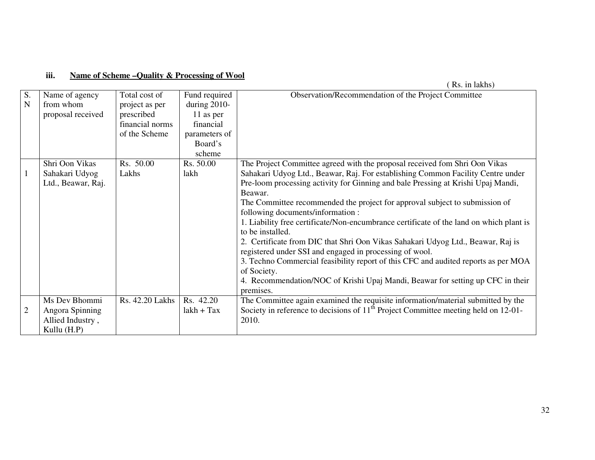#### **iii. Name of Scheme –Quality & Processing of Wool**

|                   |                                                                     |                                                                                   |                                                                                                  | Rs. in lakhs)                                                                                                                                                                                                                                                                                                                                                                                                                                                                                                                                                                                                                                                                                                                                                       |
|-------------------|---------------------------------------------------------------------|-----------------------------------------------------------------------------------|--------------------------------------------------------------------------------------------------|---------------------------------------------------------------------------------------------------------------------------------------------------------------------------------------------------------------------------------------------------------------------------------------------------------------------------------------------------------------------------------------------------------------------------------------------------------------------------------------------------------------------------------------------------------------------------------------------------------------------------------------------------------------------------------------------------------------------------------------------------------------------|
| S.<br>$\mathbf N$ | Name of agency<br>from whom<br>proposal received                    | Total cost of<br>project as per<br>prescribed<br>financial norms<br>of the Scheme | Fund required<br>during $2010$ -<br>11 as per<br>financial<br>parameters of<br>Board's<br>scheme | Observation/Recommendation of the Project Committee                                                                                                                                                                                                                                                                                                                                                                                                                                                                                                                                                                                                                                                                                                                 |
|                   | Shri Oon Vikas                                                      | Rs. 50.00                                                                         | Rs. 50.00                                                                                        | The Project Committee agreed with the proposal received fom Shri Oon Vikas                                                                                                                                                                                                                                                                                                                                                                                                                                                                                                                                                                                                                                                                                          |
| $\mathbf{1}$      | Sahakari Udyog<br>Ltd., Beawar, Raj.                                | Lakhs                                                                             | lakh                                                                                             | Sahakari Udyog Ltd., Beawar, Raj. For establishing Common Facility Centre under<br>Pre-loom processing activity for Ginning and bale Pressing at Krishi Upaj Mandi,<br>Beawar.<br>The Committee recommended the project for approval subject to submission of<br>following documents/information :<br>1. Liability free certificate/Non-encumbrance certificate of the land on which plant is<br>to be installed.<br>2. Certificate from DIC that Shri Oon Vikas Sahakari Udyog Ltd., Beawar, Raj is<br>registered under SSI and engaged in processing of wool.<br>3. Techno Commercial feasibility report of this CFC and audited reports as per MOA<br>of Society.<br>4. Recommendation/NOC of Krishi Upaj Mandi, Beawar for setting up CFC in their<br>premises. |
| $\overline{2}$    | Ms Dev Bhommi<br>Angora Spinning<br>Allied Industry,<br>Kullu (H.P) | Rs. 42.20 Lakhs                                                                   | Rs. 42.20<br>$lakh + Tax$                                                                        | The Committee again examined the requisite information/material submitted by the<br>Society in reference to decisions of 11 <sup>th</sup> Project Committee meeting held on 12-01-<br>2010.                                                                                                                                                                                                                                                                                                                                                                                                                                                                                                                                                                         |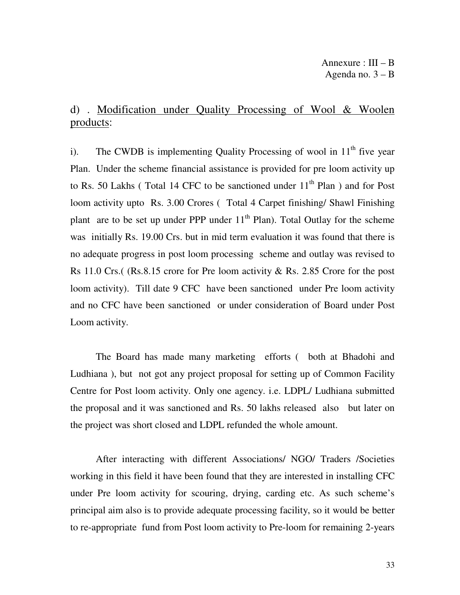# d) . Modification under Quality Processing of Wool & Woolen products:

i). The CWDB is implementing Quality Processing of wool in  $11<sup>th</sup>$  five year Plan. Under the scheme financial assistance is provided for pre loom activity up to Rs. 50 Lakhs (Total 14 CFC to be sanctioned under  $11<sup>th</sup>$  Plan) and for Post loom activity upto Rs. 3.00 Crores ( Total 4 Carpet finishing/ Shawl Finishing plant are to be set up under PPP under  $11<sup>th</sup>$  Plan). Total Outlay for the scheme was initially Rs. 19.00 Crs. but in mid term evaluation it was found that there is no adequate progress in post loom processing scheme and outlay was revised to Rs 11.0 Crs.( (Rs.8.15 crore for Pre loom activity & Rs. 2.85 Crore for the post loom activity). Till date 9 CFC have been sanctioned under Pre loom activity and no CFC have been sanctioned or under consideration of Board under Post Loom activity.

 The Board has made many marketing efforts ( both at Bhadohi and Ludhiana ), but not got any project proposal for setting up of Common Facility Centre for Post loom activity. Only one agency. i.e. LDPL/ Ludhiana submitted the proposal and it was sanctioned and Rs. 50 lakhs released also but later on the project was short closed and LDPL refunded the whole amount.

 After interacting with different Associations/ NGO/ Traders /Societies working in this field it have been found that they are interested in installing CFC under Pre loom activity for scouring, drying, carding etc. As such scheme's principal aim also is to provide adequate processing facility, so it would be better to re-appropriate fund from Post loom activity to Pre-loom for remaining 2-years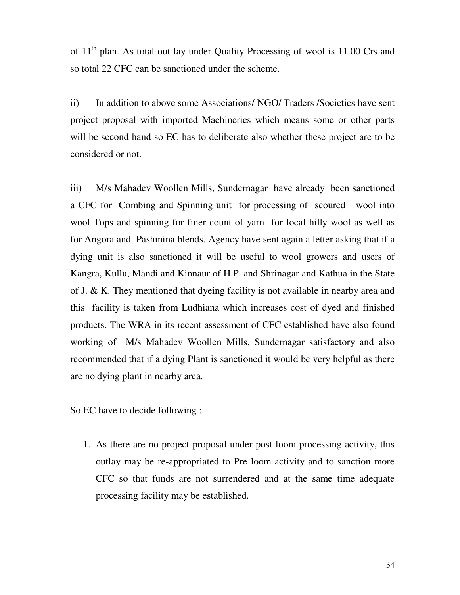of  $11<sup>th</sup>$  plan. As total out lay under Quality Processing of wool is 11.00 Crs and so total 22 CFC can be sanctioned under the scheme.

ii) In addition to above some Associations/ NGO/ Traders /Societies have sent project proposal with imported Machineries which means some or other parts will be second hand so EC has to deliberate also whether these project are to be considered or not.

iii) M/s Mahadev Woollen Mills, Sundernagarhave already been sanctioned a CFC for Combing and Spinning unit for processing of scoured wool into wool Tops and spinning for finer count of yarn for local hilly wool as well as for Angora and Pashmina blends. Agency have sent again a letter asking that if a dying unit is also sanctioned it will be useful to wool growers and users of Kangra, Kullu, Mandi and Kinnaur of H.P. and Shrinagar and Kathua in the State of J. & K. They mentioned that dyeing facility is not available in nearby area and this facility is taken from Ludhiana which increases cost of dyed and finished products. The WRA in its recent assessment of CFC established have also found working of M/s Mahadev Woollen Mills, Sundernagar satisfactory and also recommended that if a dying Plant is sanctioned it would be very helpful as there are no dying plant in nearby area.

So EC have to decide following :

1. As there are no project proposal under post loom processing activity, this outlay may be re-appropriated to Pre loom activity and to sanction more CFC so that funds are not surrendered and at the same time adequate processing facility may be established.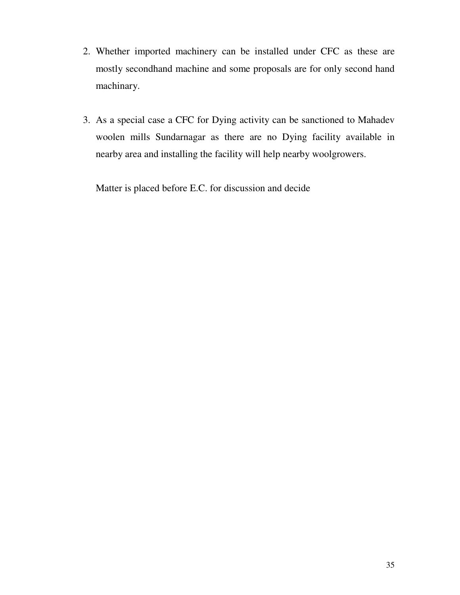- 2. Whether imported machinery can be installed under CFC as these are mostly secondhand machine and some proposals are for only second hand machinary.
- 3. As a special case a CFC for Dying activity can be sanctioned to Mahadev woolen mills Sundarnagar as there are no Dying facility available in nearby area and installing the facility will help nearby woolgrowers.

Matter is placed before E.C. for discussion and decide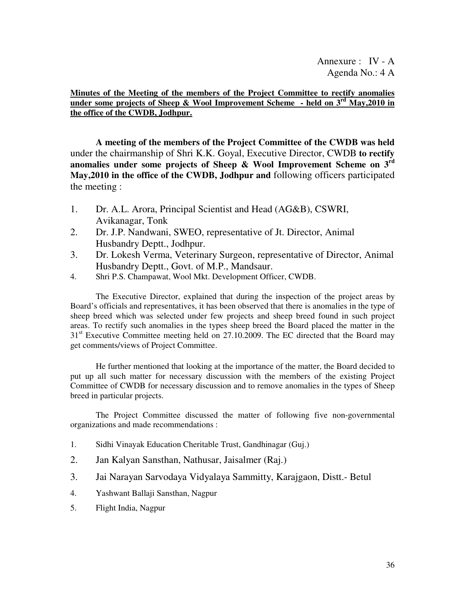**Minutes of the Meeting of the members of the Project Committee to rectify anomalies under some projects of Sheep & Wool Improvement Scheme - held on**  $3<sup>rd</sup>$  **May, 2010 in the office of the CWDB, Jodhpur.**

**A meeting of the members of the Project Committee of the CWDB was held** under the chairmanship of Shri K.K. Goyal, Executive Director, CWDB **to rectify anomalies under some projects of Sheep & Wool Improvement Scheme on 3rd May,2010 in the office of the CWDB, Jodhpur and** following officers participated the meeting :

- 1. Dr. A.L. Arora, Principal Scientist and Head (AG&B), CSWRI, Avikanagar, Tonk
- 2. Dr. J.P. Nandwani, SWEO, representative of Jt. Director, Animal Husbandry Deptt., Jodhpur.
- 3. Dr. Lokesh Verma, Veterinary Surgeon, representative of Director, Animal Husbandry Deptt., Govt. of M.P., Mandsaur.
- 4. Shri P.S. Champawat, Wool Mkt. Development Officer, CWDB.

 The Executive Director, explained that during the inspection of the project areas by Board's officials and representatives, it has been observed that there is anomalies in the type of sheep breed which was selected under few projects and sheep breed found in such project areas. To rectify such anomalies in the types sheep breed the Board placed the matter in the  $31<sup>st</sup>$  Executive Committee meeting held on 27.10.2009. The EC directed that the Board may get comments/views of Project Committee.

 He further mentioned that looking at the importance of the matter, the Board decided to put up all such matter for necessary discussion with the members of the existing Project Committee of CWDB for necessary discussion and to remove anomalies in the types of Sheep breed in particular projects.

 The Project Committee discussed the matter of following five non-governmental organizations and made recommendations :

- 1. Sidhi Vinayak Education Cheritable Trust, Gandhinagar (Guj.)
- 2. Jan Kalyan Sansthan, Nathusar, Jaisalmer (Raj.)
- 3. Jai Narayan Sarvodaya Vidyalaya Sammitty, Karajgaon, Distt.- Betul
- 4. Yashwant Ballaji Sansthan, Nagpur
- 5. Flight India, Nagpur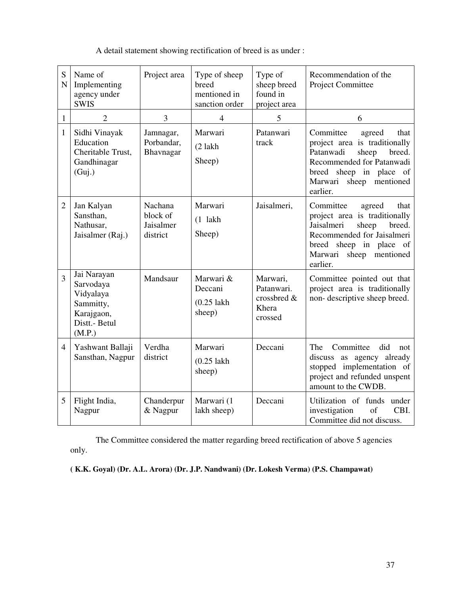| S<br>N         | Name of<br>Implementing<br>agency under<br><b>SWIS</b>                                      | Project area                                 | Type of sheep<br>breed<br>mentioned in<br>sanction order | Type of<br>sheep breed<br>found in<br>project area        | Recommendation of the<br>Project Committee                                                                                                                                                           |
|----------------|---------------------------------------------------------------------------------------------|----------------------------------------------|----------------------------------------------------------|-----------------------------------------------------------|------------------------------------------------------------------------------------------------------------------------------------------------------------------------------------------------------|
| $\mathbf{1}$   | $\overline{2}$                                                                              | 3                                            | 4                                                        | 5                                                         | 6                                                                                                                                                                                                    |
| $\mathbf{1}$   | Sidhi Vinayak<br>Education<br>Cheritable Trust,<br>Gandhinagar<br>(Guj.)                    | Jamnagar,<br>Porbandar,<br>Bhavnagar         | Marwari<br>$(2$ lakh<br>Sheep)                           | Patanwari<br>track                                        | Committee<br>agreed<br>that<br>project area is traditionally<br>Patanwadi<br>sheep<br>breed.<br>Recommended for Patanwadi<br>breed sheep in place<br>of<br>Marwari<br>sheep<br>mentioned<br>earlier. |
| $\overline{2}$ | Jan Kalyan<br>Sansthan,<br>Nathusar,<br>Jaisalmer (Raj.)                                    | Nachana<br>block of<br>Jaisalmer<br>district | Marwari<br>$(1$ lakh<br>Sheep)                           | Jaisalmeri,                                               | Committee<br>that<br>agreed<br>project area is traditionally<br>Jaisalmeri<br>sheep<br>breed.<br>Recommended for Jaisalmeri<br>breed sheep in place of<br>Marwari<br>sheep<br>mentioned<br>earlier.  |
| $\overline{3}$ | Jai Narayan<br>Sarvodaya<br>Vidyalaya<br>Sammitty,<br>Karajgaon,<br>Distt.- Betul<br>(M.P.) | Mandsaur                                     | Marwari &<br>Deccani<br>$(0.25$ lakh<br>sheep)           | Marwari,<br>Patanwari.<br>crossbred &<br>Khera<br>crossed | Committee pointed out that<br>project area is traditionally<br>non-descriptive sheep breed.                                                                                                          |
| $\overline{4}$ | Yashwant Ballaji<br>Sansthan, Nagpur                                                        | Verdha<br>district                           | Marwari<br>$(0.25$ lakh<br>sheep)                        | Deccani                                                   | Committee<br>did<br>The<br>not<br>discuss as agency already<br>stopped implementation of<br>project and refunded unspent<br>amount to the CWDB.                                                      |
| 5              | Flight India,<br>Nagpur                                                                     | Chanderpur<br>& Nagpur                       | Marwari (1<br>lakh sheep)                                | Deccani                                                   | Utilization of funds under<br>CBI.<br>investigation<br>of<br>Committee did not discuss.                                                                                                              |

A detail statement showing rectification of breed is as under :

The Committee considered the matter regarding breed rectification of above 5 agencies only.

**( K.K. Goyal) (Dr. A.L. Arora) (Dr. J.P. Nandwani) (Dr. Lokesh Verma) (P.S. Champawat)**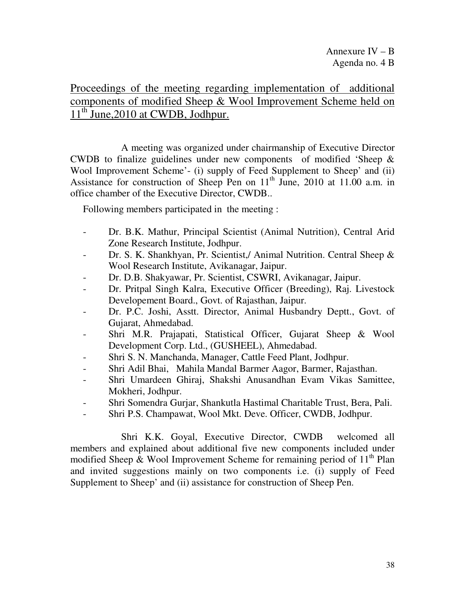Proceedings of the meeting regarding implementation of additional components of modified Sheep & Wool Improvement Scheme held on 11<sup>th</sup> June, 2010 at CWDB, Jodhpur.

 A meeting was organized under chairmanship of Executive Director CWDB to finalize guidelines under new components of modified 'Sheep & Wool Improvement Scheme'- (i) supply of Feed Supplement to Sheep' and (ii) Assistance for construction of Sheep Pen on  $11<sup>th</sup>$  June, 2010 at 11.00 a.m. in office chamber of the Executive Director, CWDB..

Following members participated in the meeting :

- Dr. B.K. Mathur, Principal Scientist (Animal Nutrition), Central Arid Zone Research Institute, Jodhpur.
- Dr. S. K. Shankhyan, Pr. Scientist,/ Animal Nutrition. Central Sheep & Wool Research Institute, Avikanagar, Jaipur.
- Dr. D.B. Shakyawar, Pr. Scientist, CSWRI, Avikanagar, Jaipur.
- Dr. Pritpal Singh Kalra, Executive Officer (Breeding), Raj. Livestock Developement Board., Govt. of Rajasthan, Jaipur.
- Dr. P.C. Joshi, Asstt. Director, Animal Husbandry Deptt., Govt. of Gujarat, Ahmedabad.
- Shri M.R. Prajapati, Statistical Officer, Gujarat Sheep & Wool Development Corp. Ltd., (GUSHEEL), Ahmedabad.
- Shri S. N. Manchanda, Manager, Cattle Feed Plant, Jodhpur.
- Shri Adil Bhai, Mahila Mandal Barmer Aagor, Barmer, Rajasthan.
- Shri Umardeen Ghiraj, Shakshi Anusandhan Evam Vikas Samittee, Mokheri, Jodhpur.
- Shri Somendra Gurjar, Shankutla Hastimal Charitable Trust, Bera, Pali.
- Shri P.S. Champawat, Wool Mkt. Deve. Officer, CWDB, Jodhpur.

 Shri K.K. Goyal, Executive Director, CWDB welcomed all members and explained about additional five new components included under modified Sheep & Wool Improvement Scheme for remaining period of  $11<sup>th</sup>$  Plan and invited suggestions mainly on two components i.e. (i) supply of Feed Supplement to Sheep' and (ii) assistance for construction of Sheep Pen.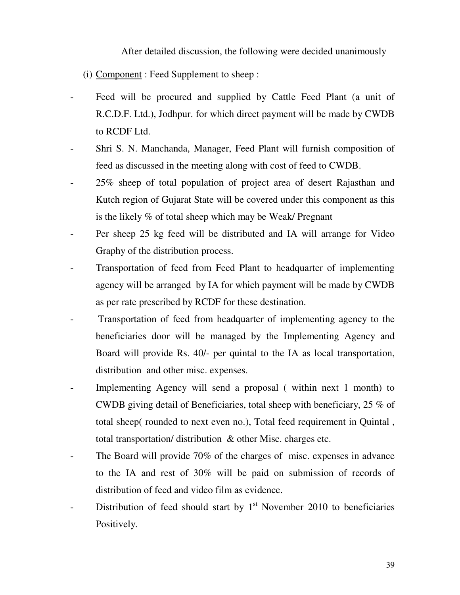After detailed discussion, the following were decided unanimously

- (i) Component : Feed Supplement to sheep :
- Feed will be procured and supplied by Cattle Feed Plant (a unit of R.C.D.F. Ltd.), Jodhpur. for which direct payment will be made by CWDB to RCDF Ltd.
- Shri S. N. Manchanda, Manager, Feed Plant will furnish composition of feed as discussed in the meeting along with cost of feed to CWDB.
- 25% sheep of total population of project area of desert Rajasthan and Kutch region of Gujarat State will be covered under this component as this is the likely % of total sheep which may be Weak/ Pregnant
- Per sheep 25 kg feed will be distributed and IA will arrange for Video Graphy of the distribution process.
- Transportation of feed from Feed Plant to headquarter of implementing agency will be arranged by IA for which payment will be made by CWDB as per rate prescribed by RCDF for these destination.
- Transportation of feed from headquarter of implementing agency to the beneficiaries door will be managed by the Implementing Agency and Board will provide Rs. 40/- per quintal to the IA as local transportation, distribution and other misc. expenses.
- Implementing Agency will send a proposal ( within next 1 month) to CWDB giving detail of Beneficiaries, total sheep with beneficiary, 25 % of total sheep( rounded to next even no.), Total feed requirement in Quintal , total transportation/ distribution & other Misc. charges etc.
- The Board will provide 70% of the charges of misc. expenses in advance to the IA and rest of 30% will be paid on submission of records of distribution of feed and video film as evidence.
- Distribution of feed should start by  $1<sup>st</sup>$  November 2010 to beneficiaries Positively.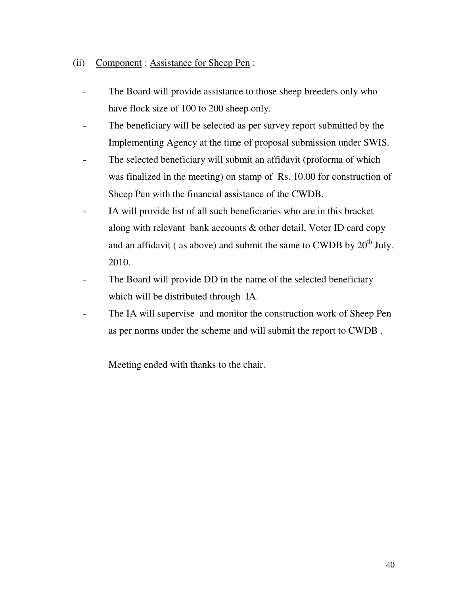- (ii) Component : Assistance for Sheep Pen :
	- The Board will provide assistance to those sheep breeders only who have flock size of 100 to 200 sheep only.
	- The beneficiary will be selected as per survey report submitted by the Implementing Agency at the time of proposal submission under SWIS.
	- The selected beneficiary will submit an affidavit (proforma of which was finalized in the meeting) on stamp of Rs. 10.00 for construction of Sheep Pen with the financial assistance of the CWDB.
	- IA will provide list of all such beneficiaries who are in this bracket along with relevant bank accounts & other detail, Voter ID card copy and an affidavit ( as above) and submit the same to CWDB by  $20<sup>th</sup>$  July. 2010.
	- The Board will provide DD in the name of the selected beneficiary which will be distributed through IA.
	- The IA will supervise and monitor the construction work of Sheep Pen as per norms under the scheme and will submit the report to CWDB .

Meeting ended with thanks to the chair.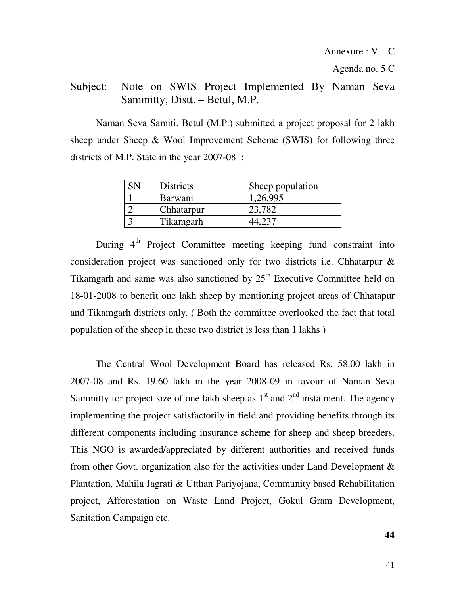Agenda no. 5 C

# Subject: Note on SWIS Project Implemented By Naman Seva Sammitty, Distt. – Betul, M.P.

 Naman Seva Samiti, Betul (M.P.) submitted a project proposal for 2 lakh sheep under Sheep & Wool Improvement Scheme (SWIS) for following three districts of M.P. State in the year 2007-08 :

| <b>Districts</b> | Sheep population |
|------------------|------------------|
| <b>Barwani</b>   | 1,26,995         |
| Chhatarpur       | 23.782           |
| Tikamgarh        |                  |

During  $4<sup>th</sup>$  Project Committee meeting keeping fund constraint into consideration project was sanctioned only for two districts i.e. Chhatarpur & Tikamgarh and same was also sanctioned by  $25<sup>th</sup>$  Executive Committee held on 18-01-2008 to benefit one lakh sheep by mentioning project areas of Chhatapur and Tikamgarh districts only. ( Both the committee overlooked the fact that total population of the sheep in these two district is less than 1 lakhs )

 The Central Wool Development Board has released Rs. 58.00 lakh in 2007-08 and Rs. 19.60 lakh in the year 2008-09 in favour of Naman Seva Sammitty for project size of one lakh sheep as  $1<sup>st</sup>$  and  $2<sup>nd</sup>$  instalment. The agency implementing the project satisfactorily in field and providing benefits through its different components including insurance scheme for sheep and sheep breeders. This NGO is awarded/appreciated by different authorities and received funds from other Govt. organization also for the activities under Land Development & Plantation, Mahila Jagrati & Utthan Pariyojana, Community based Rehabilitation project, Afforestation on Waste Land Project, Gokul Gram Development, Sanitation Campaign etc.

**44**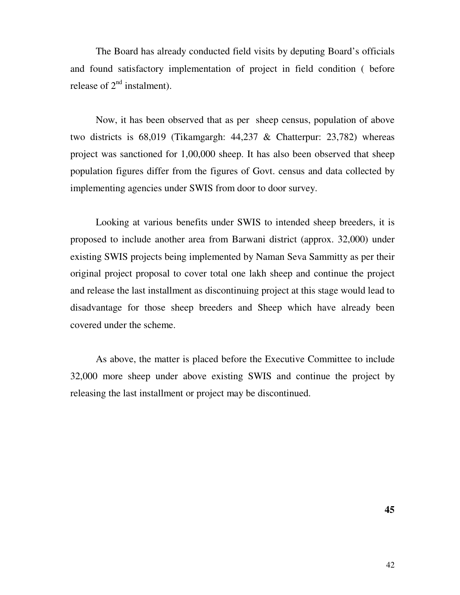The Board has already conducted field visits by deputing Board's officials and found satisfactory implementation of project in field condition ( before release of  $2<sup>nd</sup>$  instalment).

 Now, it has been observed that as per sheep census, population of above two districts is 68,019 (Tikamgargh: 44,237 & Chatterpur: 23,782) whereas project was sanctioned for 1,00,000 sheep. It has also been observed that sheep population figures differ from the figures of Govt. census and data collected by implementing agencies under SWIS from door to door survey.

 Looking at various benefits under SWIS to intended sheep breeders, it is proposed to include another area from Barwani district (approx. 32,000) under existing SWIS projects being implemented by Naman Seva Sammitty as per their original project proposal to cover total one lakh sheep and continue the project and release the last installment as discontinuing project at this stage would lead to disadvantage for those sheep breeders and Sheep which have already been covered under the scheme.

As above, the matter is placed before the Executive Committee to include 32,000 more sheep under above existing SWIS and continue the project by releasing the last installment or project may be discontinued.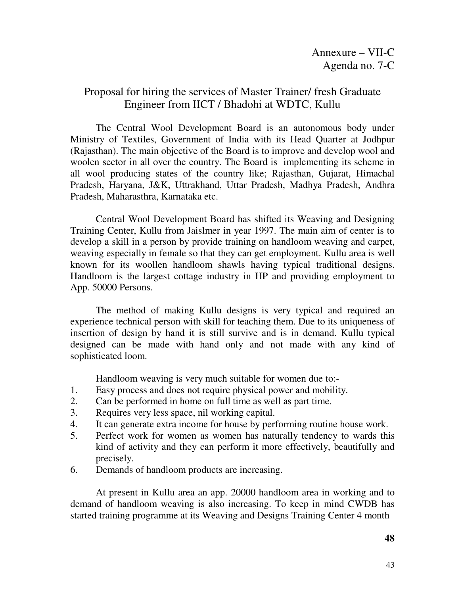# Proposal for hiring the services of Master Trainer/ fresh Graduate Engineer from IICT / Bhadohi at WDTC, Kullu

 The Central Wool Development Board is an autonomous body under Ministry of Textiles, Government of India with its Head Quarter at Jodhpur (Rajasthan). The main objective of the Board is to improve and develop wool and woolen sector in all over the country. The Board is implementing its scheme in all wool producing states of the country like; Rajasthan, Gujarat, Himachal Pradesh, Haryana, J&K, Uttrakhand, Uttar Pradesh, Madhya Pradesh, Andhra Pradesh, Maharasthra, Karnataka etc.

 Central Wool Development Board has shifted its Weaving and Designing Training Center, Kullu from Jaislmer in year 1997. The main aim of center is to develop a skill in a person by provide training on handloom weaving and carpet, weaving especially in female so that they can get employment. Kullu area is well known for its woollen handloom shawls having typical traditional designs. Handloom is the largest cottage industry in HP and providing employment to App. 50000 Persons.

 The method of making Kullu designs is very typical and required an experience technical person with skill for teaching them. Due to its uniqueness of insertion of design by hand it is still survive and is in demand. Kullu typical designed can be made with hand only and not made with any kind of sophisticated loom.

Handloom weaving is very much suitable for women due to:-

- 1. Easy process and does not require physical power and mobility.
- 2. Can be performed in home on full time as well as part time.
- 3. Requires very less space, nil working capital.
- 4. It can generate extra income for house by performing routine house work.
- 5. Perfect work for women as women has naturally tendency to wards this kind of activity and they can perform it more effectively, beautifully and precisely.
- 6. Demands of handloom products are increasing.

 At present in Kullu area an app. 20000 handloom area in working and to demand of handloom weaving is also increasing. To keep in mind CWDB has started training programme at its Weaving and Designs Training Center 4 month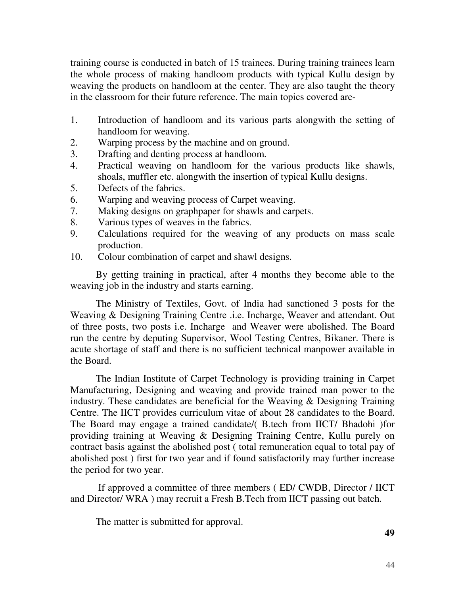training course is conducted in batch of 15 trainees. During training trainees learn the whole process of making handloom products with typical Kullu design by weaving the products on handloom at the center. They are also taught the theory in the classroom for their future reference. The main topics covered are-

- 1. Introduction of handloom and its various parts alongwith the setting of handloom for weaving.
- 2. Warping process by the machine and on ground.
- 3. Drafting and denting process at handloom.
- 4. Practical weaving on handloom for the various products like shawls, shoals, muffler etc. alongwith the insertion of typical Kullu designs.
- 5. Defects of the fabrics.
- 6. Warping and weaving process of Carpet weaving.
- 7. Making designs on graphpaper for shawls and carpets.
- 8. Various types of weaves in the fabrics.
- 9. Calculations required for the weaving of any products on mass scale production.
- 10. Colour combination of carpet and shawl designs.

 By getting training in practical, after 4 months they become able to the weaving job in the industry and starts earning.

 The Ministry of Textiles, Govt. of India had sanctioned 3 posts for the Weaving & Designing Training Centre .i.e. Incharge, Weaver and attendant. Out of three posts, two posts i.e. Incharge and Weaver were abolished. The Board run the centre by deputing Supervisor, Wool Testing Centres, Bikaner. There is acute shortage of staff and there is no sufficient technical manpower available in the Board.

 The Indian Institute of Carpet Technology is providing training in Carpet Manufacturing, Designing and weaving and provide trained man power to the industry. These candidates are beneficial for the Weaving & Designing Training Centre. The IICT provides curriculum vitae of about 28 candidates to the Board. The Board may engage a trained candidate/( B.tech from IICT/ Bhadohi )for providing training at Weaving & Designing Training Centre, Kullu purely on contract basis against the abolished post ( total remuneration equal to total pay of abolished post ) first for two year and if found satisfactorily may further increase the period for two year.

 If approved a committee of three members ( ED/ CWDB, Director / IICT and Director/ WRA ) may recruit a Fresh B.Tech from IICT passing out batch.

The matter is submitted for approval.